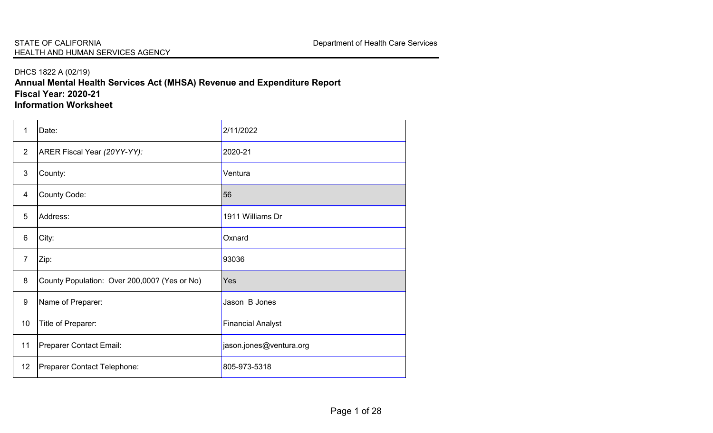# DHCS 1822 A (02/19) **Annual Mental Health Services Act (MHSA) Revenue and Expenditure Report Fiscal Year: 2020-21 Information Worksheet**

| 1               | Date:                                        | 2/11/2022                |
|-----------------|----------------------------------------------|--------------------------|
| $\overline{2}$  | ARER Fiscal Year (20YY-YY):                  | 2020-21                  |
| $\mathbf{3}$    | County:                                      | Ventura                  |
| $\overline{4}$  | County Code:                                 | 56                       |
| 5               | Address:                                     | 1911 Williams Dr         |
| 6               | City:                                        | Oxnard                   |
| $\overline{7}$  | Zip:                                         | 93036                    |
| 8               | County Population: Over 200,000? (Yes or No) | Yes                      |
| 9               | Name of Preparer:                            | Jason B Jones            |
| 10              | Title of Preparer:                           | <b>Financial Analyst</b> |
| 11              | Preparer Contact Email:                      | jason.jones@ventura.org  |
| 12 <sub>2</sub> | Preparer Contact Telephone:                  | 805-973-5318             |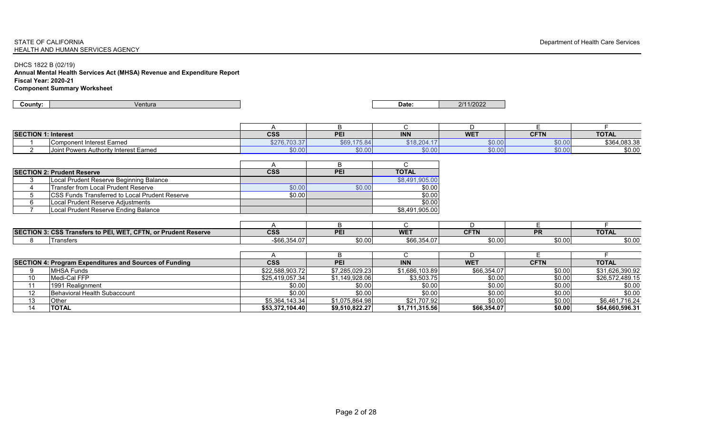DHCS 1822 B (02/19)

**Annual Mental Health Services Act (MHSA) Revenue and Expenditure Report Fiscal Year: 2020-21 Component Summary Worksheet**

| county: | Ventura | Date: | 1110000<br>0/4<br>$1/ZU_{\ell}$ |
|---------|---------|-------|---------------------------------|

| <b>SECTION 1: Interest</b> |                                    | $\sim$ $\sim$ $\sim$<br>ႱჂჾ     | --                           | <b>INN</b>  | <b>WE</b> | ᅜᄖ                                         | <b>TOTAL</b>               |
|----------------------------|------------------------------------|---------------------------------|------------------------------|-------------|-----------|--------------------------------------------|----------------------------|
|                            | Component Interest Earned          | よつつに<br>. , , , , , , , , , , , | $- - - -$<br>\$69.<br>0.∪″ / | \$18.204.17 | \$0.00    | $\mathfrak{C} \cap \mathfrak{D}$<br>\$0.00 | C3GA 083.38<br>wuu+,uuu.uu |
|                            | t Powers Authority Interest Earned | \$0.00                          | \$0.00                       | \$0.00      | \$0.00    | 0 <sub>0</sub><br>vv.v                     | \$0.00                     |

| <b>SECTION 2: Prudent Reserve</b>               | <b>CSS</b> | PEI    | <b>TOTAL</b>   |
|-------------------------------------------------|------------|--------|----------------|
| Local Prudent Reserve Beginning Balance         |            |        | \$8,491,905.00 |
| Transfer from Local Prudent Reserve             | \$0.00     | \$0.00 | \$0.00         |
| ICSS Funds Transferred to Local Prudent Reserve | \$0.00     |        | \$0.00         |
| Local Prudent Reserve Adjustments               |            |        | \$0.00         |
| Local Prudent Reserve Ending Balance            |            |        | \$8.491.905.00 |

| <b>SECTION 3:</b> | : CSS Transfers to PEI. WET. CFTN. or Prudent Reserve | cec<br>საა   | <b>DE</b> | WE <sub>1</sub>          | <b>CFTN</b> | <b>DD</b><br><b>гіз</b> | <b>TOTAL</b> |
|-------------------|-------------------------------------------------------|--------------|-----------|--------------------------|-------------|-------------------------|--------------|
|                   | Transfers                                             | -\$66,354.∪. | \$0.00    | 0.0000<br>107<br>⊸∪ບ.ວວ∸ | \$0.00      | \$0.00                  | \$0.00       |

|                   | SECTION 4: Program Expenditures and Sources of Funding | <b>CSS</b>       | <b>PEI</b>     | <b>INN</b>     | <b>WET</b>  | <b>CFTN</b> | TOTAL           |
|-------------------|--------------------------------------------------------|------------------|----------------|----------------|-------------|-------------|-----------------|
|                   | <b>IMHSA Funds</b>                                     | \$22,588,903.72  | \$7.285.029.23 | \$1.686.103.89 | \$66.354.07 | \$0.00      | \$31,626,390.92 |
| 10                | Medi-Cal FFP                                           | \$25,419,057.34] | \$1,149,928.06 | \$3,503.75     | \$0.00      | \$0.00      | \$26,572,489.15 |
|                   | 1991 Realignment                                       | \$0.00           | \$0.00         | \$0.00         | \$0.00      | \$0.00      | \$0.00          |
| $12 \overline{ }$ | Behavioral Health Subaccount                           | \$0.00           | \$0.00         | \$0.00         | \$0.00      | \$0.00      | \$0.00          |
| 12                | <b>Other</b>                                           | \$5.364.143.34   | \$1.075.864.98 | \$21.707.92    | \$0.00      | \$0.00      | \$6,461,716.24  |
| 14                | <b>TOTAL</b>                                           | \$53,372,104.40  | \$9.510.822.27 | \$1,711,315.56 | \$66,354.07 | \$0.00      | \$64,660,596,31 |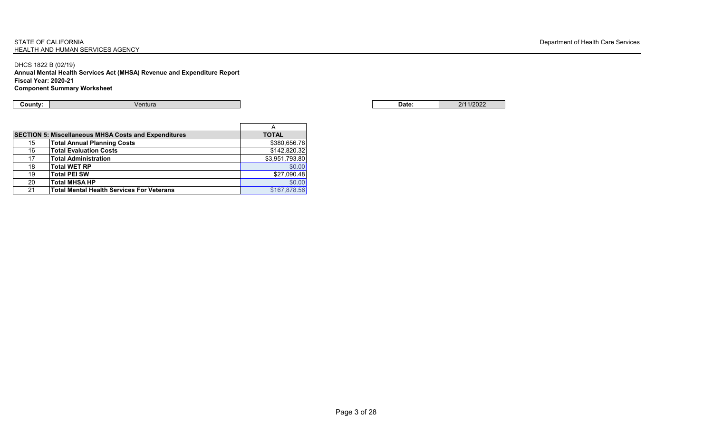DHCS 1822 B (02/19)

**Annual Mental Health Services Act (MHSA) Revenue and Expenditure Report Fiscal Year: 2020-21 Component Summary Worksheet**

**County:** Ventura **Date:** 2/11/2022

|    | <b>SECTION 5: Miscellaneous MHSA Costs and Expenditures</b> | <b>TOTAL</b>   |
|----|-------------------------------------------------------------|----------------|
| 15 | <b>Total Annual Planning Costs</b>                          | \$380,656.78   |
| 16 | <b>Total Evaluation Costs</b>                               | \$142,820.32   |
| 17 | <b>Total Administration</b>                                 | \$3,951,793.80 |
| 18 | <b>Total WET RP</b>                                         | \$0.00         |
| 19 | <b>Total PEI SW</b>                                         | \$27,090.48    |
| 20 | <b>Total MHSA HP</b>                                        | \$0.00         |
| 21 | <b>Total Mental Health Services For Veterans</b>            | \$167,878.56   |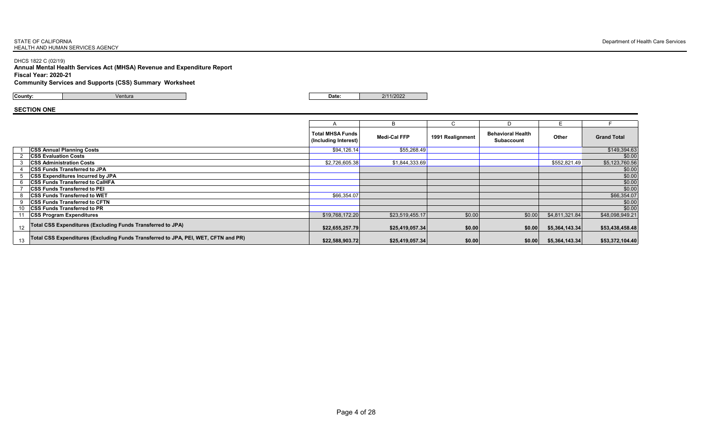### DHCS 1822 C (02/19)

**Annual Mental Health Services Act (MHSA) Revenue and Expenditure Report**

### **Fiscal Year: 2020-21**

**Community Services and Supports (CSS) Summary Worksheet**

|  | County: | Ventura |  | Date: |  |
|--|---------|---------|--|-------|--|
|--|---------|---------|--|-------|--|

### **SECTION ONE**

|    |                                                                                    |                                                 | B                   |                  | D                                             | Е              |                    |
|----|------------------------------------------------------------------------------------|-------------------------------------------------|---------------------|------------------|-----------------------------------------------|----------------|--------------------|
|    |                                                                                    | <b>Total MHSA Funds</b><br>(Including Interest) | <b>Medi-Cal FFP</b> | 1991 Realignment | <b>Behavioral Health</b><br><b>Subaccount</b> | Other          | <b>Grand Total</b> |
|    | <b>CSS Annual Planning Costs</b>                                                   | \$94,126.14                                     | \$55,268.49         |                  |                                               |                | \$149,394.63       |
|    | <b>ICSS Evaluation Costs</b>                                                       |                                                 |                     |                  |                                               |                | \$0.00             |
|    | <b>ICSS Administration Costs</b>                                                   | \$2,726,605.38                                  | \$1,844,333.69      |                  |                                               | \$552,821.49   | \$5,123,760.56     |
|    | <b>ICSS Funds Transferred to JPA</b>                                               |                                                 |                     |                  |                                               |                | \$0.00             |
|    | <b>CSS Expenditures Incurred by JPA</b>                                            |                                                 |                     |                  |                                               |                | \$0.00             |
|    | <b>CSS Funds Transferred to CalHFA</b>                                             |                                                 |                     |                  |                                               |                | \$0.00             |
|    | <b>ICSS Funds Transferred to PEI</b>                                               |                                                 |                     |                  |                                               |                | \$0.00             |
|    | <b>ICSS Funds Transferred to WET</b>                                               | \$66,354.07                                     |                     |                  |                                               |                | \$66,354.07        |
|    | <b>ICSS Funds Transferred to CFTN</b>                                              |                                                 |                     |                  |                                               |                | \$0.00             |
|    | 10 <b>ICSS Funds Transferred to PR</b>                                             |                                                 |                     |                  |                                               |                | \$0.00             |
|    | <b>CSS Program Expenditures</b>                                                    | \$19,768,172.20                                 | \$23,519,455.17     | \$0.00           | \$0.00                                        | \$4,811,321.84 | \$48,098,949.21    |
| 12 | Total CSS Expenditures (Excluding Funds Transferred to JPA)                        | \$22,655,257.79                                 | \$25,419,057.34     | \$0.00           | \$0.00                                        | \$5,364,143.34 | \$53,438,458.48    |
| 13 | Total CSS Expenditures (Excluding Funds Transferred to JPA, PEI, WET, CFTN and PR) | \$22,588,903.72                                 | \$25,419,057.34     | \$0.00           | \$0.00                                        | \$5,364,143.34 | \$53,372,104.40    |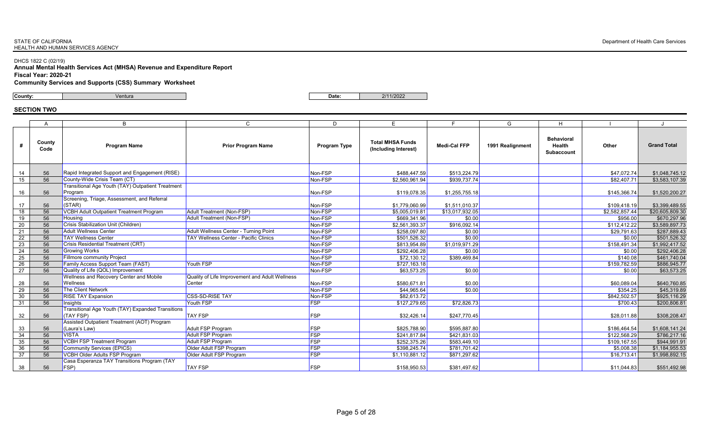### DHCS 1822 C (02/19)

**Annual Mental Health Services Act (MHSA) Revenue and Expenditure Report**

# **Fiscal Year: 2020-21**

**Community Services and Supports (CSS) Summary Worksheet**

**County:** Ventura **Date:** 2/11/2022

|                 | A              | <sub>B</sub>                                                                                                | C.                                             | D            | E.                                              |                     | G                | H                                         |                |                    |
|-----------------|----------------|-------------------------------------------------------------------------------------------------------------|------------------------------------------------|--------------|-------------------------------------------------|---------------------|------------------|-------------------------------------------|----------------|--------------------|
|                 | County<br>Code | <b>Program Name</b>                                                                                         | <b>Prior Program Name</b>                      | Program Type | <b>Total MHSA Funds</b><br>(Including Interest) | <b>Medi-Cal FFP</b> | 1991 Realignment | <b>Behavioral</b><br>Health<br>Subaccount | Other          | <b>Grand Total</b> |
| 14              | 56             | Rapid Integrated Support and Engagement (RISE)                                                              |                                                | Non-FSP      | \$488,447.59                                    | \$513,224.79        |                  |                                           | \$47,072.74    | \$1,048,745.12     |
| 15              | 56             | County-Wide Crisis Team (CT)                                                                                |                                                | Non-FSP      | \$2,560,961.94                                  | \$939,737.74        |                  |                                           | \$82,407.71    | \$3,583,107.39     |
| 16              | 56             | Transitional Age Youth (TAY) Outpatient Treatment<br>Program<br>Screening, Triage, Assessment, and Referral |                                                | Non-FSP      | \$119,078.35                                    | \$1,255,755.18      |                  |                                           | \$145,366.74   | \$1,520,200.27     |
| 17              | 56             | (STAR)                                                                                                      |                                                | Non-FSP      | \$1,779,060.99                                  | \$1,511,010.37      |                  |                                           | \$109,418.19   | \$3,399,489.55     |
| 18              | 56             | <b>VCBH Adult Outpatient Treatment Program</b>                                                              | Adult Treatment (Non-FSP)                      | Non-FSP      | \$5,005,019.81                                  | \$13,017,932.05     |                  |                                           | \$2,582,857.44 | \$20,605,809.30    |
| 19              | 56             | Housing                                                                                                     | Adult Treatment (Non-FSP)                      | Non-FSP      | \$669,341.96                                    | \$0.00              |                  |                                           | \$956.00       | \$670,297.96       |
| 20              | 56             | Crisis Stabilization Unit (Children)                                                                        |                                                | Non-FSP      | \$2,561,393.37                                  | \$916,092.14        |                  |                                           | \$112,412.22   | \$3,589,897.73     |
| 21              | 56             | <b>Adult Wellness Center</b>                                                                                | Adult Wellness Center - Turning Point          | Non-FSP      | \$258,097.80                                    | \$0.00              |                  |                                           | \$29,791.63    | \$287,889.43       |
| 22              | 56             | <b>TAY Wellness Center</b>                                                                                  | <b>TAY Wellness Center - Pacific Clinics</b>   | Non-FSP      | \$501,526.32                                    | \$0.00              |                  |                                           | \$0.00         | \$501,526.32       |
| 23              | 56             | Crisis Residential Treatment (CRT)                                                                          |                                                | Non-FSP      | \$813,954.89                                    | \$1,019,971.29      |                  |                                           | \$158,491.34   | \$1,992,417.52     |
| $\overline{24}$ | 56             | Growing Works                                                                                               |                                                | Non-FSP      | \$292,406.28                                    | \$0.00              |                  |                                           | \$0.00         | \$292,406.28       |
| 25              | 56             | <b>Fillmore community Project</b>                                                                           |                                                | Non-FSP      | \$72,130.12                                     | \$389,469.84        |                  |                                           | \$140.08       | \$461,740.04       |
| 26              | 56             | Family Access Support Team (FAST)                                                                           | Youth FSP                                      | Non-FSP      | \$727,163.18                                    |                     |                  |                                           | \$159,782.59   | \$886,945.77       |
| 27              | 56             | Quality of Life (QOL) Improvement                                                                           |                                                | Non-FSP      | \$63,573.25                                     | \$0.00              |                  |                                           | \$0.00         | \$63,573.25        |
|                 |                | <b>Wellness and Recovery Center and Mobile</b>                                                              | Quality of Life Improvement and Adult Wellness |              |                                                 |                     |                  |                                           |                |                    |
| 28              | 56             | <b>Wellness</b>                                                                                             | Center                                         | Non-FSP      | \$580,671.81                                    | \$0.00              |                  |                                           | \$60,089.04    | \$640,760.85       |
| 29              | 56             | <b>The Client Network</b>                                                                                   |                                                | Non-FSP      | \$44,965.64                                     | \$0.00              |                  |                                           | \$354.25       | \$45,319.89        |
| 30              | 56             | <b>RISE TAY Expansion</b>                                                                                   | <b>CSS-SD-RISE TAY</b>                         | Non-FSP      | \$82,613.72                                     |                     |                  |                                           | \$842,502.57   | \$925,116.29       |
| 31              | 56             | Insights                                                                                                    | Youth FSP                                      | <b>FSP</b>   | \$127,279.65                                    | \$72,826.73         |                  |                                           | \$700.43       | \$200,806.81       |
| 32              | 56             | Transitional Age Youth (TAY) Expanded Transitions<br>(TAY FSP)                                              | <b>TAY FSP</b>                                 | FSP          | \$32,426.14                                     | \$247,770.45        |                  |                                           | \$28,011.88    | \$308,208.47       |
|                 |                | Assisted Outpatient Treatment (AOT) Program                                                                 |                                                |              |                                                 |                     |                  |                                           |                |                    |
| 33              | 56             | (Laura's Law)                                                                                               | Adult FSP Program                              | <b>FSP</b>   | \$825,788.90                                    | \$595,887.80        |                  |                                           | \$186,464.54   | \$1,608,141.24     |
| 34              | 56             | <b>VISTA</b>                                                                                                | Adult FSP Program                              | FSP          | \$241,817.84                                    | \$421,831.03        |                  |                                           | \$122,568.29   | \$786,217.16       |
| 35              | 56             | <b>VCBH FSP Treatment Program</b>                                                                           | <b>Adult FSP Program</b>                       | <b>FSP</b>   | \$252,375.26                                    | \$583,449.10        |                  |                                           | \$109,167.55   | \$944,991.91       |
| 36              | 56             | Community Services (EPICS)                                                                                  | Older Adult FSP Program                        | FSP          | \$398,245.74                                    | \$781,701.42        |                  |                                           | \$5,008.38     | \$1,184,955.53     |
| 37              | 56             | VCBH Older Adults FSP Program                                                                               | Older Adult FSP Program                        | <b>FSP</b>   | \$1,110,881.12                                  | \$871,297.62        |                  |                                           | \$16,713.41    | \$1,998,892.15     |
| 38              | 56             | Casa Esperanza TAY Transitions Program (TAY<br>FSP)                                                         | <b>TAY FSP</b>                                 | FSP          | \$158,950.53                                    | \$381,497.62        |                  |                                           | \$11,044.83    | \$551,492.98       |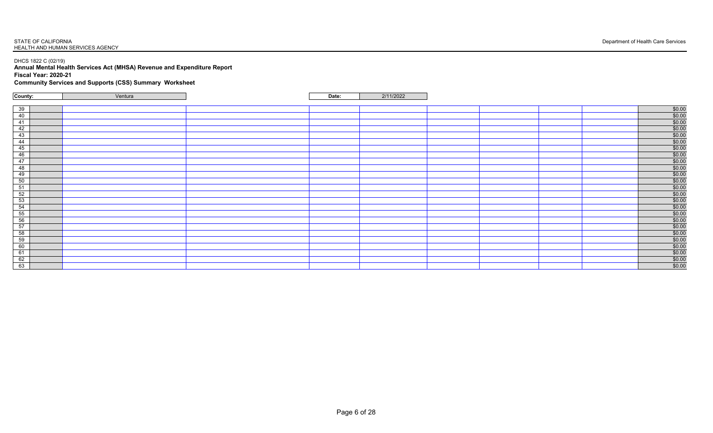### DHCS 1822 C (02/19)

**Annual Mental Health Services Act (MHSA) Revenue and Expenditure Report**

## **Fiscal Year: 2020-21**

**Community Services and Supports (CSS) Summary Worksheet**

| County:                                                                               | Ventura | Date: | 2/11/2022 |  |                       |
|---------------------------------------------------------------------------------------|---------|-------|-----------|--|-----------------------|
|                                                                                       |         |       |           |  |                       |
|                                                                                       |         |       |           |  | \$0.00                |
|                                                                                       |         |       |           |  | \$0.00                |
| $\begin{array}{r} 39 \\ \hline 40 \\ \hline 41 \\ \hline 42 \\ \hline 10 \end{array}$ |         |       |           |  | \$0.00                |
|                                                                                       |         |       |           |  | \$0.00                |
| $\begin{array}{r} 43 \\ 44 \end{array}$                                               |         |       |           |  | $$0.00$<br>$$0.00$    |
|                                                                                       |         |       |           |  |                       |
|                                                                                       |         |       |           |  | \$0.00                |
|                                                                                       |         |       |           |  | \$0.00                |
|                                                                                       |         |       |           |  | $$0.00$<br>$$0.00$    |
|                                                                                       |         |       |           |  |                       |
| $\frac{45}{48}$                                                                       |         |       |           |  | \$0.00                |
|                                                                                       |         |       |           |  | \$0.00                |
|                                                                                       |         |       |           |  | $$0.00$<br>$$0.00$    |
|                                                                                       |         |       |           |  |                       |
|                                                                                       |         |       |           |  | \$0.00                |
|                                                                                       |         |       |           |  | \$0.00                |
|                                                                                       |         |       |           |  | $$0.00$<br>$$0.00$    |
|                                                                                       |         |       |           |  |                       |
|                                                                                       |         |       |           |  | \$0.00                |
|                                                                                       |         |       |           |  | \$0.00                |
|                                                                                       |         |       |           |  | \$0.00                |
|                                                                                       |         |       |           |  |                       |
|                                                                                       |         |       |           |  | $\frac{$0.00}{$0.00}$ |
|                                                                                       |         |       |           |  | \$0.00                |
|                                                                                       |         |       |           |  | \$0.00                |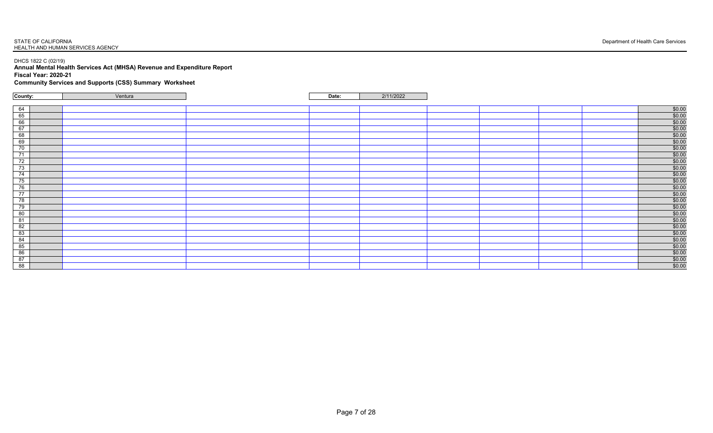### DHCS 1822 C (02/19)

**Annual Mental Health Services Act (MHSA) Revenue and Expenditure Report**

### **Fiscal Year: 2020-21**

**Community Services and Supports (CSS) Summary Worksheet**

| County:                                                                                                                                                                                                                                                                                                                                                                                          | Ventura | Date: | 2/11/2022 |  |                       |
|--------------------------------------------------------------------------------------------------------------------------------------------------------------------------------------------------------------------------------------------------------------------------------------------------------------------------------------------------------------------------------------------------|---------|-------|-----------|--|-----------------------|
|                                                                                                                                                                                                                                                                                                                                                                                                  |         |       |           |  |                       |
|                                                                                                                                                                                                                                                                                                                                                                                                  |         |       |           |  | \$0.00                |
|                                                                                                                                                                                                                                                                                                                                                                                                  |         |       |           |  | \$0.00                |
|                                                                                                                                                                                                                                                                                                                                                                                                  |         |       |           |  | \$0.00                |
|                                                                                                                                                                                                                                                                                                                                                                                                  |         |       |           |  | \$0.00                |
|                                                                                                                                                                                                                                                                                                                                                                                                  |         |       |           |  | $$0.00$<br>$$0.00$    |
|                                                                                                                                                                                                                                                                                                                                                                                                  |         |       |           |  |                       |
|                                                                                                                                                                                                                                                                                                                                                                                                  |         |       |           |  | \$0.00                |
|                                                                                                                                                                                                                                                                                                                                                                                                  |         |       |           |  | \$0.00                |
|                                                                                                                                                                                                                                                                                                                                                                                                  |         |       |           |  | $$0.00$<br>$$0.00$    |
|                                                                                                                                                                                                                                                                                                                                                                                                  |         |       |           |  |                       |
|                                                                                                                                                                                                                                                                                                                                                                                                  |         |       |           |  | \$0.00                |
|                                                                                                                                                                                                                                                                                                                                                                                                  |         |       |           |  | \$0.00                |
|                                                                                                                                                                                                                                                                                                                                                                                                  |         |       |           |  | $$0.00$<br>$$0.00$    |
|                                                                                                                                                                                                                                                                                                                                                                                                  |         |       |           |  |                       |
|                                                                                                                                                                                                                                                                                                                                                                                                  |         |       |           |  | \$0.00                |
|                                                                                                                                                                                                                                                                                                                                                                                                  |         |       |           |  | \$0.00                |
|                                                                                                                                                                                                                                                                                                                                                                                                  |         |       |           |  | $$0.00$<br>$$0.00$    |
|                                                                                                                                                                                                                                                                                                                                                                                                  |         |       |           |  |                       |
|                                                                                                                                                                                                                                                                                                                                                                                                  |         |       |           |  | \$0.00                |
|                                                                                                                                                                                                                                                                                                                                                                                                  |         |       |           |  | \$0.00                |
|                                                                                                                                                                                                                                                                                                                                                                                                  |         |       |           |  | \$0.00                |
| $\begin{array}{ c c c c c c } \hline \textbf{64} & \textbf{65} & \textbf{66} & \textbf{67} & \textbf{68} & \textbf{68} & \textbf{69} & \textbf{68} & \textbf{69} & \textbf{69} & \textbf{69} & \textbf{69} & \textbf{69} & \textbf{69} & \textbf{69} & \textbf{69} & \textbf{69} & \textbf{69} & \textbf{69} & \textbf{69} & \textbf{69} & \textbf{69} & \textbf{69} & \textbf{69} & \textbf{69$ |         |       |           |  | $\frac{$0.00}{$0.00}$ |
|                                                                                                                                                                                                                                                                                                                                                                                                  |         |       |           |  |                       |
|                                                                                                                                                                                                                                                                                                                                                                                                  |         |       |           |  | \$0.00                |
|                                                                                                                                                                                                                                                                                                                                                                                                  |         |       |           |  | \$0.00                |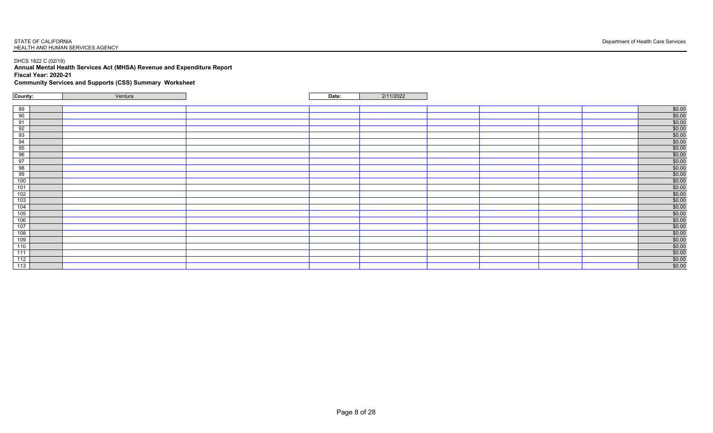### DHCS 1822 C (02/19)

**Annual Mental Health Services Act (MHSA) Revenue and Expenditure Report**

## **Fiscal Year: 2020-21**

**Community Services and Supports (CSS) Summary Worksheet**

| County:                                                                                                                                                                                     | Ventura | Date: | 2/11/2022 |  |                       |
|---------------------------------------------------------------------------------------------------------------------------------------------------------------------------------------------|---------|-------|-----------|--|-----------------------|
|                                                                                                                                                                                             |         |       |           |  |                       |
|                                                                                                                                                                                             |         |       |           |  | \$0.00                |
|                                                                                                                                                                                             |         |       |           |  | \$0.00                |
|                                                                                                                                                                                             |         |       |           |  | \$0.00                |
|                                                                                                                                                                                             |         |       |           |  | \$0.00                |
|                                                                                                                                                                                             |         |       |           |  |                       |
|                                                                                                                                                                                             |         |       |           |  | $$0.00$<br>$$0.00$    |
|                                                                                                                                                                                             |         |       |           |  | \$0.00                |
|                                                                                                                                                                                             |         |       |           |  | \$0.00                |
|                                                                                                                                                                                             |         |       |           |  | $\frac{$0.00}{$0.00}$ |
|                                                                                                                                                                                             |         |       |           |  |                       |
|                                                                                                                                                                                             |         |       |           |  | \$0.00                |
|                                                                                                                                                                                             |         |       |           |  | \$0.00                |
|                                                                                                                                                                                             |         |       |           |  | $$0.00$<br>$$0.00$    |
|                                                                                                                                                                                             |         |       |           |  |                       |
|                                                                                                                                                                                             |         |       |           |  | \$0.00                |
|                                                                                                                                                                                             |         |       |           |  | \$0.00                |
|                                                                                                                                                                                             |         |       |           |  | $$0.00$<br>$$0.00$    |
|                                                                                                                                                                                             |         |       |           |  |                       |
|                                                                                                                                                                                             |         |       |           |  | \$0.00                |
|                                                                                                                                                                                             |         |       |           |  | \$0.00                |
|                                                                                                                                                                                             |         |       |           |  | \$0.00                |
| $\begin{array}{r} 89 \\ 90 \\ 91 \\ 92 \\ 93 \\ 94 \\ 95 \\ 96 \\ 97 \\ 98 \\ 99 \\ 100 \\ 101 \\ 102 \\ 103 \\ 104 \\ 105 \\ 100 \\ 100 \\ 100 \\ 110 \\ 111 \\ 112 \\ 113 \\ \end{array}$ |         |       |           |  | $\frac{$0.00}{$0.00}$ |
|                                                                                                                                                                                             |         |       |           |  |                       |
|                                                                                                                                                                                             |         |       |           |  | \$0.00                |
|                                                                                                                                                                                             |         |       |           |  | \$0.00                |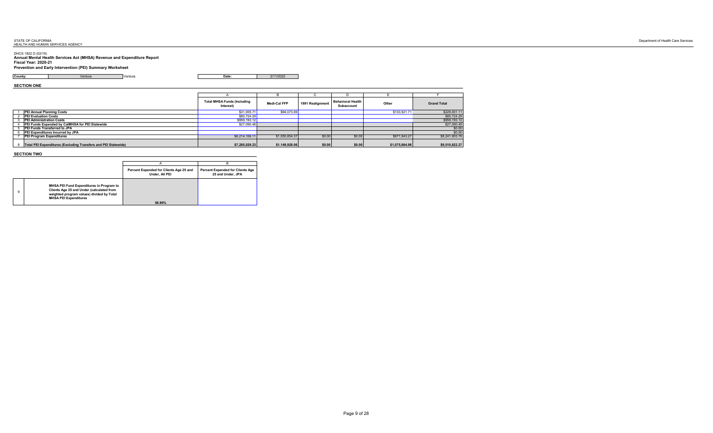DHCS 1822 D (02/19) **Annual Mental Health Services Act (MHSA) Revenue and Expenditure Report**

# **Fiscal Year: 2020-21 Prevention and Early Intervention (PEI) Summary Worksheet**

**County: Date:** 2/11/2022 **Ventura Date: Date:** 2/11/2022 **Date:** 2/11/2022

**SECTION ONE**

|                                                                | <b>Total MHSA Funds (Including</b><br>Interest) | Medi-Cal FFP   | 1991 Realignment | <b>Behavioral Health</b><br>Subaccount | Other          | <b>Grand Total</b> |
|----------------------------------------------------------------|-------------------------------------------------|----------------|------------------|----------------------------------------|----------------|--------------------|
| PEI Annual Planning Costs                                      | \$31,005.71                                     | \$94.073.69    |                  |                                        | \$103,921.71   | \$229,001.11       |
| <b>PEI Evaluation Costs</b>                                    | \$80,724.29                                     |                |                  |                                        |                | \$80,724.29        |
| <b>PEI Administration Costs</b>                                | \$959,193.12                                    |                |                  |                                        |                | \$959,193.12       |
| PEI Funds Expended by CaIMHSA for PEI Statewide                | \$27,090.48                                     |                |                  |                                        |                | \$27,090.48        |
| <b>PEI Funds Transferred to JPA</b>                            |                                                 |                |                  |                                        |                | \$0.00             |
| PEI Expenditures Incurred by JPA                               |                                                 |                |                  |                                        |                | \$0.00             |
| <b>PEI Program Expenditures</b>                                | \$6,214,106.11                                  | \$1,055,854.37 | \$0.00           | \$0.00                                 | \$971,943.27   | \$8,241,903.76     |
|                                                                |                                                 |                |                  |                                        |                |                    |
| Total PEI Expenditures (Excluding Transfers and PEI Statewide) | \$7,285,029.23                                  | \$1,149,928.06 | \$0.00           | \$0.00                                 | \$1,075,864.98 | \$9,510,822.27     |

|   |                                                                                                                                                                    | Percent Expended for Clients Age 25 and<br>Under, All PEI | <b>Percent Expended for Clients Age</b><br>25 and Under, JPA |
|---|--------------------------------------------------------------------------------------------------------------------------------------------------------------------|-----------------------------------------------------------|--------------------------------------------------------------|
| 9 | MHSA PEI Fund Expenditures in Program to<br>Clients Age 25 and Under (calculated from<br>weighted program values) divided by Total<br><b>MHSA PEI Expenditures</b> |                                                           |                                                              |
|   |                                                                                                                                                                    | 56.90%                                                    |                                                              |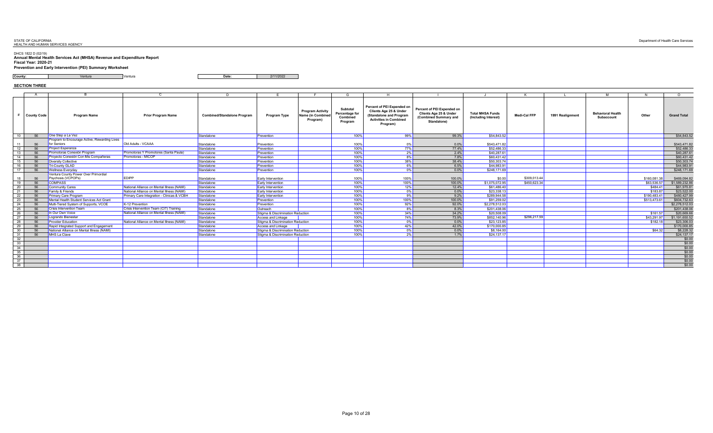DHCS 1822 D (02/19) **Annual Mental Health Services Act (MHSA) Revenue and Expenditure Report Fiscal Year: 2020-21 Prevention and Early Intervention (PEI) Summary Worksheet**

**County: Date:** 2/11/2022 **Ventura Date: Date:** 2/11/2022 **Date:** 2/11/2022

**SECTION THREE**

|          |               |                                                                              |                                            | D                                  |                                          |                                                          | G                                                 |                                                                                                                              |                                                                                              |                                                 | K                            |                  | M                                      |                             | $\circ$                        |
|----------|---------------|------------------------------------------------------------------------------|--------------------------------------------|------------------------------------|------------------------------------------|----------------------------------------------------------|---------------------------------------------------|------------------------------------------------------------------------------------------------------------------------------|----------------------------------------------------------------------------------------------|-------------------------------------------------|------------------------------|------------------|----------------------------------------|-----------------------------|--------------------------------|
|          | # County Code | <b>Program Name</b>                                                          | <b>Prior Program Name</b>                  | <b>Combined/Standalone Program</b> | Program Type                             | <b>Program Activity</b><br>Name (in Combined<br>Program) | Subtotal<br>Percentage for<br>Combined<br>Program | Percent of PEI Expended on<br>Clients Age 25 & Under<br>(Standalone and Program<br><b>Activities in Combined</b><br>Program) | Percent of PEI Expended on<br>Clients Age 25 & Under<br>(Combined Summary and<br>Standalone) | <b>Total MHSA Funds</b><br>(Including Interest) | Medi-Cal FFP                 | 1991 Realignment | <b>Behavioral Health</b><br>Subaccount | Other                       | <b>Grand Total</b>             |
| 10       | 56            | One Step a La Vez                                                            |                                            | Standalone                         | Prevention                               |                                                          | 100%                                              | 99%                                                                                                                          | 99.3%                                                                                        | \$54,843.52                                     |                              |                  |                                        |                             | \$54,843.52                    |
|          |               | Program to Encourage Active, Rewarding Lives                                 |                                            |                                    |                                          |                                                          |                                                   |                                                                                                                              |                                                                                              |                                                 |                              |                  |                                        |                             |                                |
| 11       | 56            | for Seniors                                                                  | Old Adults - VCAAA                         | Standalone                         | Prevention                               |                                                          | 100%                                              | 0%                                                                                                                           | 0.0%                                                                                         | \$543,471.82                                    |                              |                  |                                        |                             | \$543,471.82                   |
| 12       | 56            | Project Esperanza                                                            |                                            | Standalone                         | Prevention                               |                                                          | 100%                                              | 77%                                                                                                                          | 77.4%                                                                                        | \$52,486.33                                     |                              |                  |                                        |                             | \$52,486,33                    |
| 13       | 56            | Promotoras Conexión Program                                                  | Promotoras Y Promotores (Santa Paula)      | Standalone                         | Prevention                               |                                                          | 100%                                              | 2%                                                                                                                           | 2.4%                                                                                         | \$40,287.61                                     |                              |                  |                                        |                             | \$40,287.61                    |
| 14       | 56            | Proyecto Conexión Con Mis Compañeras                                         | Promotoras - MICOP                         | Standalone                         | Prevention                               |                                                          | 100%                                              | 8%                                                                                                                           | 7.8%                                                                                         | \$60,431.42                                     |                              |                  |                                        |                             | \$60,431,42                    |
| 15       | 56            | Diversity Collective                                                         |                                            | Standalone                         | Prevention                               |                                                          | 100%                                              | 38%                                                                                                                          | 38.4%                                                                                        | \$50,303,74                                     |                              |                  |                                        |                             | \$50,303.74                    |
| 16       | 56            | <b>Tri-County GLAD</b>                                                       |                                            | Standalone                         | Prevention                               |                                                          | 100%                                              | 6%                                                                                                                           | 6.5%                                                                                         | \$44,983.91                                     |                              |                  |                                        |                             | \$44,983.91                    |
| 17       | 56            | <b>Wellness Everyday</b>                                                     |                                            | Standalone                         | Prevention                               |                                                          | 100%                                              | 0%                                                                                                                           | 0.0%                                                                                         | \$248,171.69                                    |                              |                  |                                        |                             | \$248,171.69                   |
| 18<br>19 | 56<br>56      | Ventura County Power Over Primordial<br>Psychosis (VCPOPs)<br><b>COMPASS</b> | EDIPP                                      | Standalone<br>Standalone           | Early Intervention<br>Early Intervention |                                                          | 100%<br>100%                                      | 100%<br>100%                                                                                                                 | 100.0%<br>100.0%                                                                             | \$0.00<br>\$1,075,072.95                        | \$309,013.44<br>\$450.623.34 |                  |                                        | \$160,081.38<br>\$63,536.57 | \$469,094.82<br>\$1,589,232,86 |
| 20       |               | <b>Community Cares</b>                                                       | National Alliance on Mental Illness (NAMI) | Standalone                         | Early Intervention                       |                                                          | 100%                                              | 12%                                                                                                                          | 12.4%                                                                                        | \$61,486.40                                     |                              |                  |                                        | \$484.41                    | \$61,970.81                    |
| 21       | 56            | Family & Friends                                                             | National Alliance on Mental Illness (NAMI) | Standalone                         | Early Intervention                       |                                                          | 100%                                              | 0%                                                                                                                           | 0.0%                                                                                         | \$23,338.13                                     |                              |                  |                                        | \$183.87                    | \$23,522.00                    |
| 22       | 56            | Primary Care Program                                                         | Primary Care Integration - Clinicas & VCBH | Standalone                         | Early Intervention                       |                                                          | 100%                                              | 9%                                                                                                                           | 9.2%                                                                                         | \$289,944.58                                    |                              |                  |                                        | \$190,483.41                | \$480,427.99                   |
| 23       | 56            | Mental Health Student Services Act Grant                                     |                                            | Standalone                         | Prevention                               |                                                          | 100%                                              | 100%                                                                                                                         | 100.0%                                                                                       | \$91,259.02                                     |                              |                  |                                        | \$513,473.61                | \$604,732.63                   |
| 24       | 56            | Multi-Tiered System of Supports, VCOE                                        | K-12 Prevention                            | Standalone                         | Prevention                               |                                                          | 100%                                              | 92%                                                                                                                          | 92.0%                                                                                        | \$2,278,512.03                                  |                              |                  |                                        |                             | \$2,278,512.03                 |
| 25       | 56            | Crisis Intervention Team                                                     | Crisis Intervention Team (CIT) Training    | Standalone                         | Outreach                                 |                                                          | 100%                                              | 8%                                                                                                                           | 8.3%                                                                                         | \$201,438.06                                    |                              |                  |                                        |                             | \$201,438,06                   |
| 26       |               | In Our Own Voice                                                             | National Alliance on Mental Illness (NAMI) | Standalone                         | Stigma & Discrimination Reduction        |                                                          | 100%                                              | 34%                                                                                                                          | 34.2%                                                                                        | \$20,508.09                                     |                              |                  |                                        | \$161.57                    | \$20,669.66                    |
| 27       | 56            | Logrando Bienestar                                                           |                                            | Standalone                         | Access and Linkage                       |                                                          | 100%                                              | 74%                                                                                                                          | 73.9%                                                                                        | \$852,140.96                                    | \$296,217.59                 |                  |                                        | \$43,291.97                 | \$1,191,650.52                 |
| 28       | 56            | <b>Provider Education</b>                                                    | National Alliance on Mental Illness (NAMI) | Standalone                         | Stigma & Discrimination Reduction        |                                                          | 100%                                              | 0%                                                                                                                           | $0.0\%$                                                                                      | \$23,123.85                                     |                              |                  |                                        | \$182.18                    | \$23,306.03                    |
| 29       |               | Rapid Integrated Support and Engagement                                      |                                            | Standalone                         | Access and Linkage                       |                                                          | 100%                                              | 42%                                                                                                                          | 42.0%                                                                                        | \$170,000.85                                    |                              |                  |                                        |                             | \$170,000.85                   |
| 30       | 56            | National Alliance on Mental Illness (NAMI)                                   |                                            | Standalone                         | Stigma & Discrimination Reduction        |                                                          | 100%                                              | 0%                                                                                                                           | $0.0\%$                                                                                      | \$8,164.00                                      |                              |                  |                                        | \$64.32                     | \$8,228.32                     |
| 31       | 56            | MHS La Clave                                                                 |                                            | Standalone                         | Stigma & Discrimination Reduction        |                                                          | 100%                                              | 2%                                                                                                                           | 1.7%                                                                                         | \$24,137,17                                     |                              |                  |                                        |                             | \$24,137.17                    |
| 32       |               |                                                                              |                                            |                                    |                                          |                                                          |                                                   |                                                                                                                              |                                                                                              |                                                 |                              |                  |                                        |                             | \$0.00                         |
| 33       |               |                                                                              |                                            |                                    |                                          |                                                          |                                                   |                                                                                                                              |                                                                                              |                                                 |                              |                  |                                        |                             | \$0.00                         |
| 34       |               |                                                                              |                                            |                                    |                                          |                                                          |                                                   |                                                                                                                              |                                                                                              |                                                 |                              |                  |                                        |                             | \$0.00                         |
| 35       |               |                                                                              |                                            |                                    |                                          |                                                          |                                                   |                                                                                                                              |                                                                                              |                                                 |                              |                  |                                        |                             | \$0.00                         |
| 36       |               |                                                                              |                                            |                                    |                                          |                                                          |                                                   |                                                                                                                              |                                                                                              |                                                 |                              |                  |                                        |                             | \$0.00                         |
| 37       |               |                                                                              |                                            |                                    |                                          |                                                          |                                                   |                                                                                                                              |                                                                                              |                                                 |                              |                  |                                        |                             | \$0.00                         |
| 38       |               |                                                                              |                                            |                                    |                                          |                                                          |                                                   |                                                                                                                              |                                                                                              |                                                 |                              |                  |                                        |                             | \$0.00                         |
|          |               |                                                                              |                                            |                                    |                                          |                                                          |                                                   |                                                                                                                              |                                                                                              |                                                 |                              |                  |                                        |                             |                                |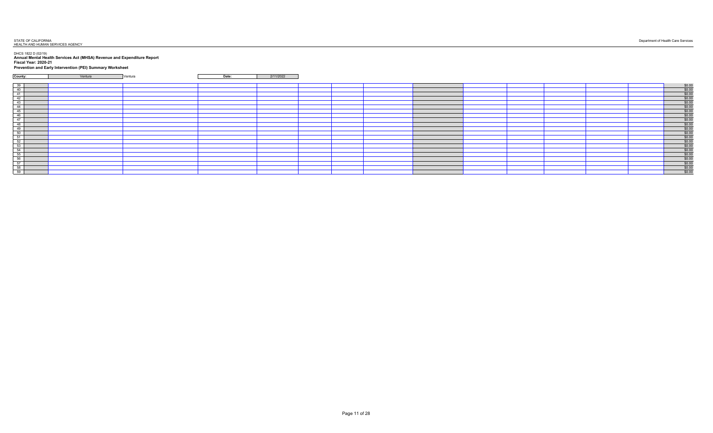# **Fiscal Year: 2020-21 Prevention and Early Intervention (PEI) Summary Worksheet**

| County: | Ventura | Ventura | Date: | 2/11/2022 |  |  |                               |
|---------|---------|---------|-------|-----------|--|--|-------------------------------|
|         |         |         |       |           |  |  |                               |
|         |         |         |       |           |  |  | \$0.00                        |
|         |         |         |       |           |  |  |                               |
|         |         |         |       |           |  |  |                               |
|         |         |         |       |           |  |  | $$0.00$<br>$$0.00$<br>$$0.00$ |
|         |         |         |       |           |  |  |                               |
|         |         |         |       |           |  |  |                               |
|         |         |         |       |           |  |  |                               |
|         |         |         |       |           |  |  |                               |
|         |         |         |       |           |  |  |                               |
|         |         |         |       |           |  |  |                               |
|         |         |         |       |           |  |  |                               |
|         |         |         |       |           |  |  |                               |
|         |         |         |       |           |  |  |                               |
|         |         |         |       |           |  |  |                               |
|         |         |         |       |           |  |  |                               |
|         |         |         |       |           |  |  |                               |
|         |         |         |       |           |  |  |                               |
|         |         |         |       |           |  |  |                               |
|         |         |         |       |           |  |  |                               |
|         |         |         |       |           |  |  |                               |
|         |         |         |       |           |  |  |                               |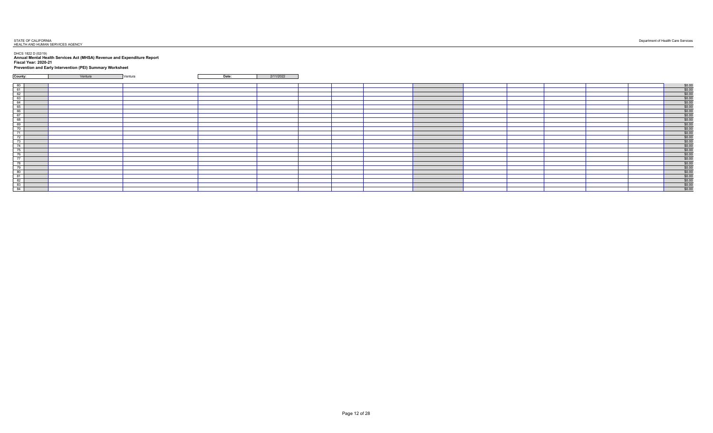# **Fiscal Year: 2020-21 Prevention and Early Intervention (PEI) Summary Worksheet**

| County: | entura/<br>------- | Ventura | Date: | /202 |
|---------|--------------------|---------|-------|------|
|         |                    |         |       |      |

| $\begin{array}{r} 60 \\ 61 \\ \hline 62 \\ \hline 63 \\ \hline 64 \\ \hline 65 \\ \hline 66 \\ \hline 67 \\ \hline 68 \\ \hline 69 \\ \hline 70 \\ \hline 71 \end{array}$ |  |  |  |  |                                                                                                                                                                                                                                                                                                                                                                       |
|---------------------------------------------------------------------------------------------------------------------------------------------------------------------------|--|--|--|--|-----------------------------------------------------------------------------------------------------------------------------------------------------------------------------------------------------------------------------------------------------------------------------------------------------------------------------------------------------------------------|
|                                                                                                                                                                           |  |  |  |  |                                                                                                                                                                                                                                                                                                                                                                       |
|                                                                                                                                                                           |  |  |  |  |                                                                                                                                                                                                                                                                                                                                                                       |
|                                                                                                                                                                           |  |  |  |  |                                                                                                                                                                                                                                                                                                                                                                       |
|                                                                                                                                                                           |  |  |  |  |                                                                                                                                                                                                                                                                                                                                                                       |
| $\begin{array}{r} 72 \\ \hline 73 \\ \hline 74 \end{array}$                                                                                                               |  |  |  |  |                                                                                                                                                                                                                                                                                                                                                                       |
|                                                                                                                                                                           |  |  |  |  |                                                                                                                                                                                                                                                                                                                                                                       |
|                                                                                                                                                                           |  |  |  |  |                                                                                                                                                                                                                                                                                                                                                                       |
|                                                                                                                                                                           |  |  |  |  |                                                                                                                                                                                                                                                                                                                                                                       |
|                                                                                                                                                                           |  |  |  |  |                                                                                                                                                                                                                                                                                                                                                                       |
|                                                                                                                                                                           |  |  |  |  |                                                                                                                                                                                                                                                                                                                                                                       |
|                                                                                                                                                                           |  |  |  |  |                                                                                                                                                                                                                                                                                                                                                                       |
|                                                                                                                                                                           |  |  |  |  |                                                                                                                                                                                                                                                                                                                                                                       |
|                                                                                                                                                                           |  |  |  |  |                                                                                                                                                                                                                                                                                                                                                                       |
|                                                                                                                                                                           |  |  |  |  |                                                                                                                                                                                                                                                                                                                                                                       |
| $\begin{array}{r} 75 \\ 76 \\ 77 \\ 78 \\ 80 \\ 81 \\ 82 \\ 83 \\ 84 \\ \end{array}$                                                                                      |  |  |  |  | $\begin{array}{r} 90.00 \\ \hline 90.00 \\ \hline 90.00 \\ \hline 90.00 \\ \hline 90.00 \\ \hline 90.00 \\ \hline 90.00 \\ \hline 90.00 \\ \hline 90.00 \\ \hline 90.00 \\ \hline 90.00 \\ \hline 90.00 \\ \hline 90.00 \\ \hline 90.00 \\ \hline 90.00 \\ \hline 90.00 \\ \hline 90.00 \\ \hline 90.00 \\ \hline 90.00 \\ \hline 90.00 \\ \hline 90.00 \\ \hline 90$ |
|                                                                                                                                                                           |  |  |  |  |                                                                                                                                                                                                                                                                                                                                                                       |
|                                                                                                                                                                           |  |  |  |  |                                                                                                                                                                                                                                                                                                                                                                       |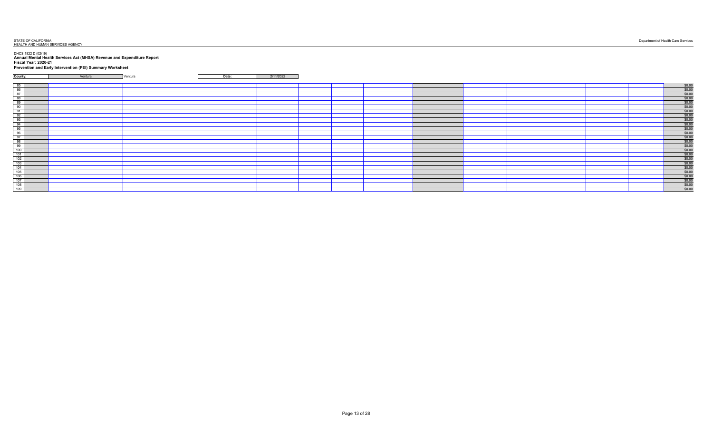# **Fiscal Year: 2020-21 Prevention and Early Intervention (PEI) Summary Worksheet**

| County <sup>-</sup> | Ventura | Ventura | Date: | 120.2 |
|---------------------|---------|---------|-------|-------|
|                     |         |         |       |       |

| $\frac{$0.00}{$0.00}$<br>$\frac{$0.00}{$0.00}$<br>$\frac{$0.00}{$0.00}$<br>$\frac{$0.00}{$0.00}$<br>$\frac{$0.00}{0.00}$<br>$\frac{$0.00}{0.00}$<br>$\frac{$0.00}{0.00}$<br>$\frac{$0.00}{0.00}$<br>$\frac{$0.00}{0.00}$<br>$\begin{array}{r} $0.00$ \\ 0.00$ \\ 0.00$ \\ $0.00$ \\ $0.00$ \\ $0.00$ \\ $0.00$ \\ $0.00$ \\ $0.00$ \\ $0.00$ \\ $0.00$ \\ $0.00$ \\ $0.00$ \\ $0.00$ \\ $0.00$ \\ \end{array}$ |  |  |  |  |  |  |
|----------------------------------------------------------------------------------------------------------------------------------------------------------------------------------------------------------------------------------------------------------------------------------------------------------------------------------------------------------------------------------------------------------------|--|--|--|--|--|--|
|                                                                                                                                                                                                                                                                                                                                                                                                                |  |  |  |  |  |  |
|                                                                                                                                                                                                                                                                                                                                                                                                                |  |  |  |  |  |  |
|                                                                                                                                                                                                                                                                                                                                                                                                                |  |  |  |  |  |  |
|                                                                                                                                                                                                                                                                                                                                                                                                                |  |  |  |  |  |  |
|                                                                                                                                                                                                                                                                                                                                                                                                                |  |  |  |  |  |  |
|                                                                                                                                                                                                                                                                                                                                                                                                                |  |  |  |  |  |  |
|                                                                                                                                                                                                                                                                                                                                                                                                                |  |  |  |  |  |  |
|                                                                                                                                                                                                                                                                                                                                                                                                                |  |  |  |  |  |  |
|                                                                                                                                                                                                                                                                                                                                                                                                                |  |  |  |  |  |  |
|                                                                                                                                                                                                                                                                                                                                                                                                                |  |  |  |  |  |  |
|                                                                                                                                                                                                                                                                                                                                                                                                                |  |  |  |  |  |  |
|                                                                                                                                                                                                                                                                                                                                                                                                                |  |  |  |  |  |  |
|                                                                                                                                                                                                                                                                                                                                                                                                                |  |  |  |  |  |  |
|                                                                                                                                                                                                                                                                                                                                                                                                                |  |  |  |  |  |  |
|                                                                                                                                                                                                                                                                                                                                                                                                                |  |  |  |  |  |  |
|                                                                                                                                                                                                                                                                                                                                                                                                                |  |  |  |  |  |  |
|                                                                                                                                                                                                                                                                                                                                                                                                                |  |  |  |  |  |  |
|                                                                                                                                                                                                                                                                                                                                                                                                                |  |  |  |  |  |  |
|                                                                                                                                                                                                                                                                                                                                                                                                                |  |  |  |  |  |  |
|                                                                                                                                                                                                                                                                                                                                                                                                                |  |  |  |  |  |  |
|                                                                                                                                                                                                                                                                                                                                                                                                                |  |  |  |  |  |  |
|                                                                                                                                                                                                                                                                                                                                                                                                                |  |  |  |  |  |  |
|                                                                                                                                                                                                                                                                                                                                                                                                                |  |  |  |  |  |  |
|                                                                                                                                                                                                                                                                                                                                                                                                                |  |  |  |  |  |  |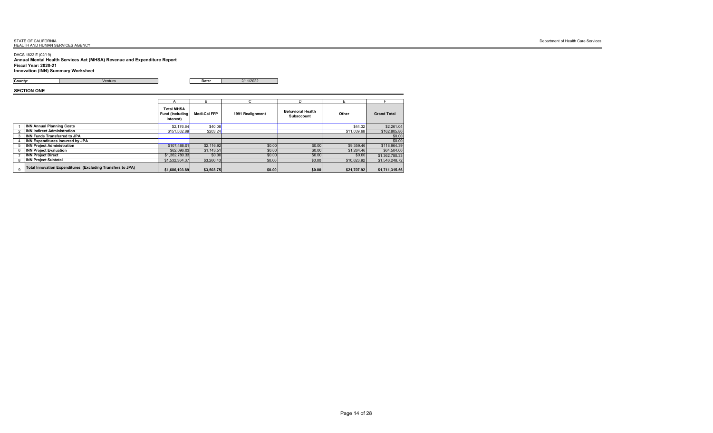# STATE OF CALIFORNIA Department of Health Care Services<br>HEALTH AND HUMAN SERVICES AGENCY

#### DHCS 1822 E (02/19) **Annual Mental Health Services Act (MHSA) Revenue and Expenditure Report**

#### **Fiscal Year: 2020-21**

**Innovation (INN) Summary Worksheet**

**County:** 2/11/2022 **Date:** 2/11/2022

**SECTION ONE**

|          |                                                            |                                                          |              | ⌒                | D                                      |             |                    |
|----------|------------------------------------------------------------|----------------------------------------------------------|--------------|------------------|----------------------------------------|-------------|--------------------|
|          |                                                            | <b>Total MHSA</b><br><b>Fund (Including</b><br>Interest) | Medi-Cal FFP | 1991 Realignment | <b>Behavioral Health</b><br>Subaccount | Other       | <b>Grand Total</b> |
|          | <b>INN Annual Planning Costs</b>                           | \$2.176.64                                               | \$40.08      |                  |                                        | \$44.32     | \$2,261.04         |
|          | <b>INN Indirect Administration</b>                         | \$151,562.89                                             | \$203.24     |                  |                                        | \$11,039.68 | \$162,805.80       |
|          | <b>INN Funds Transferred to JPA</b>                        |                                                          |              |                  |                                        |             | \$0.00             |
|          | INN Expenditures Incurred by JPA                           |                                                          |              |                  |                                        |             | \$0.00             |
|          | <b>INN Project Administration</b>                          | \$107.488.01                                             | \$2,116.92   | \$0.00           | \$0.00                                 | \$9,359.46  | \$118,964.39       |
|          | <b>INN Project Evaluation</b>                              | \$62,096.03                                              | \$1,143.51   | \$0.00           | \$0.00                                 | \$1,264.46  | \$64,504.00        |
|          | <b>INN Project Direct</b>                                  | \$1,362,780.33                                           | \$0.00       | \$0.00           | \$0.00                                 | \$0.00      | \$1,362,780.33     |
|          | <b>INN Project Subtotal</b>                                | \$1,532,364,37                                           | \$3,260.43   | \$0.00           | \$0.00                                 | \$10,623.92 | \$1,546,248.72     |
| $\alpha$ | Total Innovation Expenditures (Excluding Transfers to JPA) | \$1.686.103.89                                           | \$3.503.75   | \$0.00           | \$0.00                                 | \$21.707.92 | \$1,711,315.56     |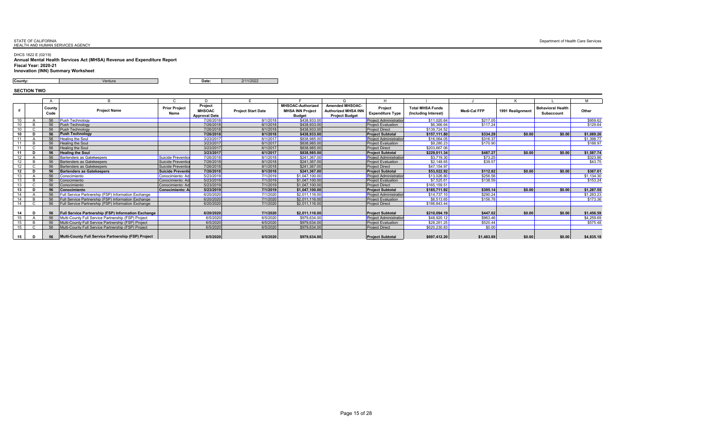STATE OF CALIFORNIA Department of Health Care Services<br>HEALTH AND HUMAN SERVICES AGENCY

#### DHCS 1822 E (02/19) **Annual Mental Health Services Act (MHSA) Revenue and Expenditure Report**

**Fiscal Year: 2020-21**

### **Innovation (INN) Summary Worksheet**

**County:** 2/11/2022 **Date:** 2/11/2022

|                 |                |                                                     | C                            | D                                                |                           |                                                                      | G                                                                             |                                    |                                                 |                     |                  |                                               | м          |
|-----------------|----------------|-----------------------------------------------------|------------------------------|--------------------------------------------------|---------------------------|----------------------------------------------------------------------|-------------------------------------------------------------------------------|------------------------------------|-------------------------------------------------|---------------------|------------------|-----------------------------------------------|------------|
|                 | County<br>Code | <b>Project Name</b>                                 | <b>Prior Project</b><br>Name | Project<br><b>MHSOAC</b><br><b>Approval Date</b> | <b>Project Start Date</b> | <b>MHSOAC-Authorized</b><br><b>MHSA INN Project</b><br><b>Budget</b> | <b>Amended MHSOAC-</b><br><b>Authorized MHSA INN</b><br><b>Project Budget</b> | Project<br><b>Expenditure Type</b> | <b>Total MHSA Funds</b><br>(Including Interest) | <b>Medi-Cal FFP</b> | 1991 Realignment | <b>Behavioral Health</b><br><b>Subaccount</b> | Other      |
| 10              | 56             | <b>Push Technology</b>                              |                              | 7/26/2018                                        | 8/1/2018                  | \$438,933.00                                                         |                                                                               | <b>Project Administration</b>      | \$11,020.64                                     | \$217.05            |                  |                                               | \$959.62   |
| 10 <sup>1</sup> | 56             | Push Technology                                     |                              | 7/26/2018                                        | 8/1/2018                  | \$438,933.00                                                         |                                                                               | <b>Project Evaluation</b>          | \$6,366.64                                      | \$117.24            |                  |                                               | \$129.64   |
| 10              | 56             | Push Technology                                     |                              | 7/26/2018                                        | 8/1/2018                  | \$438,933.00                                                         |                                                                               | <b>Project Direct</b>              | \$139,724.52                                    |                     |                  |                                               |            |
| 10              |                | <b>Push Technology</b>                              |                              | 7/26/2018                                        | 8/1/2018                  | \$438,933.00                                                         |                                                                               | <b>Project Subtotal</b>            | \$157,111.80                                    | \$334.29            | \$0.00           | \$0.00                                        | \$1,089.26 |
| 11              |                | <b>Healing the Soul</b>                             |                              | 3/23/2017                                        | 6/1/2017                  | \$838,985.00                                                         |                                                                               | <b>Project Administratio</b>       | \$16,064.05                                     | \$316.37            |                  |                                               | \$1,398.77 |
| 11              | 56             | <b>Healing the Soul</b>                             |                              | 3/23/2017                                        | 6/1/2017                  | \$838,985.00                                                         |                                                                               | <b>Project Evaluation</b>          | \$9,280.23                                      | \$170.90            |                  |                                               | \$188.97   |
| 11              | 56             | Healing the Soul                                    |                              | 3/23/2017                                        | 6/1/2017                  | \$838,985.00                                                         |                                                                               | <b>Project Direct</b>              | \$203,667.06                                    |                     |                  |                                               |            |
| 11              | 56             | <b>Healing the Soul</b>                             |                              | 3/23/2017                                        | 6/1/2017                  | \$838,985.00                                                         |                                                                               | <b>Project Subtotal</b>            | \$229,011.34                                    | \$487.27            | \$0.00           | \$0.00                                        | \$1,587.74 |
| 12              | 56             | <b>Bartenders as Gatekeepers</b>                    | Suicide Preventior           | 7/26/2018                                        | 8/1/2018                  | \$241,367.00                                                         |                                                                               | <b>Project Administratio</b>       | \$3,719.30                                      | \$73.25             |                  |                                               | \$323.86   |
| 12              |                | Bartenders as Gatekeepers                           | <b>Suicide Prevention</b>    | 7/26/2018                                        | 8/1/2018                  | \$241,367.00                                                         |                                                                               | <b>Project Evaluation</b>          | \$2,148.65                                      | \$39.57             |                  |                                               | \$43.75    |
| 12              |                | Bartenders as Gatekeepers                           | Suicide Prevention           | 7/26/2018                                        | 8/1/2018                  | \$241,367.00                                                         |                                                                               | <b>Project Direct</b>              | \$47,154.97                                     |                     |                  |                                               |            |
| 12              |                | <b>Bartenders as Gatekeepers</b>                    | <b>Suicide Preventio</b>     | 7/26/2018                                        | 8/1/2018                  | \$241,367.00                                                         |                                                                               | <b>Project Subtotal</b>            | \$53,022.92                                     | \$112.82            | \$0.00           | \$0.00                                        | \$367.61   |
| 13              | 56             | Conocimiento                                        | Conocimiento: Ad             | 5/23/2019                                        | 7/1/2019                  | \$1,047,100.00                                                       |                                                                               | <b>Project Administratio</b>       | \$13,026.80                                     | \$256.56            |                  |                                               | \$1,134.30 |
| 13              |                | Conocimiento                                        | Conocimiento: Ad             | 5/23/2019                                        | 7/1/2019                  | \$1,047,100.00                                                       |                                                                               | Project Evaluation                 | \$7,525.61                                      | \$138.59            |                  |                                               | \$153.24   |
| 13              |                | Conocimiento                                        | Conocimiento: Ad             | 5/23/2019                                        | 7/1/2019                  | \$1,047,100,00                                                       |                                                                               | <b>Project Direct</b>              | \$165,159.51                                    |                     |                  |                                               |            |
| 13              |                | Conocimiento                                        | <b>Conocimiento: A</b>       | 5/23/2019                                        | 7/1/2019                  | \$1.047.100.00                                                       |                                                                               | <b>Project Subtotal</b>            | \$185,711.92                                    | \$395.14            | \$0.00           | \$0.00                                        | \$1,287.55 |
| 14              |                | Full Service Partnership (FSP) Information Exchange |                              | 6/20/2020                                        | 7/1/2020                  | \$2,011,116.00                                                       |                                                                               | <b>Project Administration</b>      | \$14,737.10                                     | \$290.24            |                  |                                               | \$1,283.23 |
| 14              | 56             | Full Service Partnership (FSP) Information Exchange |                              | 6/20/2020                                        | 7/1/2020                  | \$2,011,116.00                                                       |                                                                               | <b>Project Evaluation</b>          | \$8,513.65                                      | \$156.78            |                  |                                               | \$173.36   |
| 14              | 56             | Full Service Partnership (FSP) Information Exchange |                              | 6/20/2020                                        | 7/1/2020                  | \$2,011,116,00                                                       |                                                                               | <b>Project Direct</b>              | \$186,843.44                                    |                     |                  |                                               |            |
| 14              | 56             | Full Service Partnership (FSP) Information Exchange |                              | 6/20/2020                                        | 7/1/2020                  | \$2.011.116.00                                                       |                                                                               | <b>Project Subtotal</b>            | \$210,094.19                                    | \$447.02            | \$0.00           | \$0.00                                        | \$1,456.59 |
| 15              | 56             | Multi-County Full Service Partnership (FSP) Project |                              | 6/5/2020                                         | 6/5/2020                  | \$979,634.00                                                         |                                                                               | <b>Project Administration</b>      | \$48,920.12                                     | \$963.46            |                  |                                               | \$4,259.69 |
| 15              |                | Multi-County Full Service Partnership (FSP) Project |                              | 6/5/2020                                         | 6/5/2020                  | \$979,634.00                                                         |                                                                               | <b>Project Evaluation</b>          | \$28,261.25                                     | \$520.44            |                  |                                               | \$575.48   |
| 15              | 56             | Multi-County Full Service Partnership (FSP) Project |                              | 6/5/2020                                         | 6/5/2020                  | \$979,634.00                                                         |                                                                               | <b>Project Direct</b>              | \$620,230.83                                    | \$0.00              |                  |                                               |            |
| 15              | 56             | Multi-County Full Service Partnership (FSP) Project |                              | 6/5/2020                                         | 6/5/2020                  | \$979,634.00                                                         |                                                                               | <b>Project Subtotal</b>            | \$697,412.20                                    | \$1,483.89          | \$0.00           | \$0.00                                        | \$4,835.18 |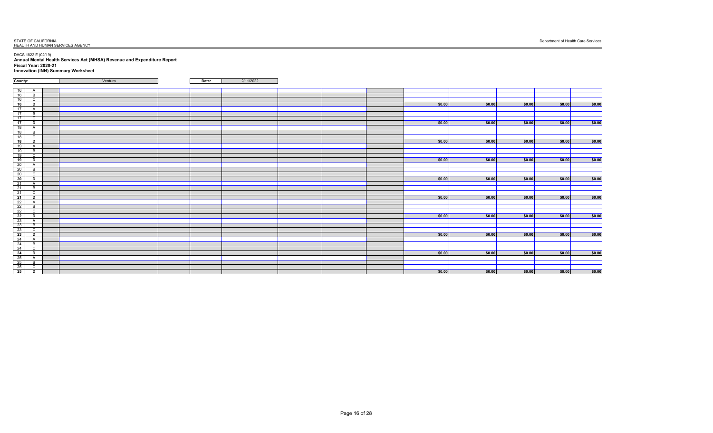#### DHCS 1822 E (02/19) **Annual Mental Health Services Act (MHSA) Revenue and Expenditure Report Fiscal Year: 2020-21**

### **Innovation (INN) Summary Worksheet**

| County:              | Ventura | Date: | 2/11/2022 |  |        |        |        |        |        |
|----------------------|---------|-------|-----------|--|--------|--------|--------|--------|--------|
|                      |         |       |           |  |        |        |        |        |        |
| 16<br>A              |         |       |           |  |        |        |        |        |        |
| $16$ B               |         |       |           |  |        |        |        |        |        |
| 16<br>$\mathbf{C}$   |         |       |           |  |        |        |        |        |        |
| 16<br>D              |         |       |           |  | \$0.00 | \$0.00 | \$0.00 | \$0.00 | \$0.00 |
| 17<br>$\mathsf{A}$   |         |       |           |  |        |        |        |        |        |
| 17<br>$\overline{B}$ |         |       |           |  |        |        |        |        |        |
| 17<br>$\mathbf{C}$   |         |       |           |  |        |        |        |        |        |
| 17<br>D              |         |       |           |  | \$0.00 | \$0.00 | \$0.00 | \$0.00 | \$0.00 |
| 18<br>$\mathsf{A}$   |         |       |           |  |        |        |        |        |        |
| 18<br>B              |         |       |           |  |        |        |        |        |        |
| 18<br>$\mathbf{C}$   |         |       |           |  |        |        |        |        |        |
| 18<br>D              |         |       |           |  | \$0.00 | \$0.00 | \$0.00 | \$0.00 | \$0.00 |
| 19<br>A              |         |       |           |  |        |        |        |        |        |
| 19<br>B.             |         |       |           |  |        |        |        |        |        |
| 19<br>$\overline{c}$ |         |       |           |  |        |        |        |        |        |
| 19<br>D              |         |       |           |  | \$0.00 | \$0.00 | \$0.00 | \$0.00 | \$0.00 |
| 20<br>$\mathsf{A}$   |         |       |           |  |        |        |        |        |        |
| 20<br>B              |         |       |           |  |        |        |        |        |        |
| 20<br>$\mathbf{C}$   |         |       |           |  |        |        |        |        |        |
| 20<br>D              |         |       |           |  | \$0.00 | \$0.00 | \$0.00 | \$0.00 | \$0.00 |
| 21<br>$\overline{A}$ |         |       |           |  |        |        |        |        |        |
| 21<br>B              |         |       |           |  |        |        |        |        |        |
| 21<br>$\mathbf{C}$   |         |       |           |  |        |        |        |        |        |
| 21<br>D              |         |       |           |  | \$0.00 | \$0.00 | \$0.00 | \$0.00 | \$0.00 |
| 22                   |         |       |           |  |        |        |        |        |        |
| 22<br><b>B</b>       |         |       |           |  |        |        |        |        |        |
| 22<br>$\mathbf{C}$   |         |       |           |  |        |        |        |        |        |
| 22<br>D              |         |       |           |  | \$0.00 | \$0.00 | \$0.00 | \$0.00 | \$0.00 |
| 23<br>A              |         |       |           |  |        |        |        |        |        |
| 23<br>R              |         |       |           |  |        |        |        |        |        |
| 23<br>C              |         |       |           |  |        |        |        |        |        |
| 23<br>D              |         |       |           |  | \$0.00 | \$0.00 | \$0.00 | \$0.00 | \$0.00 |
| 24<br>$\mathsf{A}$   |         |       |           |  |        |        |        |        |        |
| 24<br>$\overline{B}$ |         |       |           |  |        |        |        |        |        |
| 24<br>$\mathbf{C}$   |         |       |           |  |        |        |        |        |        |
| 24<br><b>D</b>       |         |       |           |  | \$0.00 | \$0.00 | \$0.00 | \$0.00 | \$0.00 |
| 25<br>A              |         |       |           |  |        |        |        |        |        |
| 25<br>B              |         |       |           |  |        |        |        |        |        |
| 25<br>$\mathbf{C}$   |         |       |           |  |        |        |        |        |        |
| 25<br>$\overline{p}$ |         |       |           |  | \$0.00 | \$0.00 | \$0.00 | \$0.00 | \$0.00 |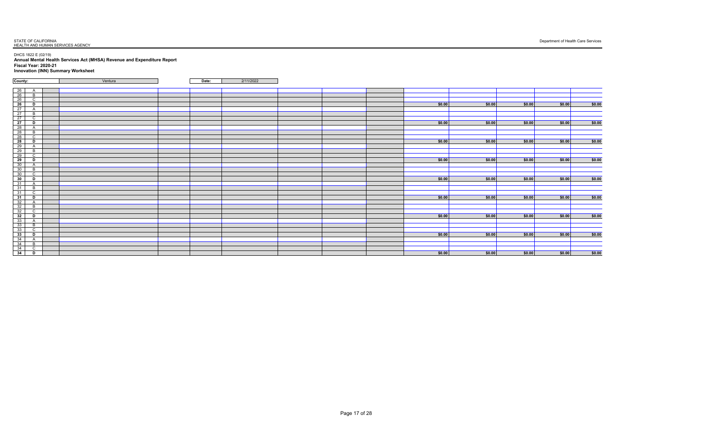#### DHCS 1822 E (02/19) **Annual Mental Health Services Act (MHSA) Revenue and Expenditure Report Fiscal Year: 2020-21**

### **Innovation (INN) Summary Worksheet**

| County:                                                                                                     | Ventura | Date: | 2/11/2022 |  |        |        |        |        |        |
|-------------------------------------------------------------------------------------------------------------|---------|-------|-----------|--|--------|--------|--------|--------|--------|
|                                                                                                             |         |       |           |  |        |        |        |        |        |
| $\begin{array}{ c c c }\n\hline\n26 & A \\ \hline\n26 & B \\ \hline\n26 & C \\ \hline\n26 & D\n\end{array}$ |         |       |           |  |        |        |        |        |        |
| $\overline{B}$                                                                                              |         |       |           |  |        |        |        |        |        |
| $\mathsf{C}$                                                                                                |         |       |           |  |        |        |        |        |        |
| D                                                                                                           |         |       |           |  | \$0.00 | \$0.00 | \$0.00 | \$0.00 | \$0.00 |
| 27<br>$\mathsf{A}$                                                                                          |         |       |           |  |        |        |        |        |        |
| 27<br><b>B</b>                                                                                              |         |       |           |  |        |        |        |        |        |
| 27<br>$\mathbf{C}$                                                                                          |         |       |           |  |        |        |        |        |        |
| 27<br>D                                                                                                     |         |       |           |  | \$0.00 | \$0.00 | \$0.00 | \$0.00 | \$0.00 |
| $\begin{array}{r} 28 \\ 28 \end{array}$<br>A                                                                |         |       |           |  |        |        |        |        |        |
| <b>B</b>                                                                                                    |         |       |           |  |        |        |        |        |        |
| 28<br>C                                                                                                     |         |       |           |  |        |        |        |        |        |
| 28<br>D                                                                                                     |         |       |           |  | \$0.00 | \$0.00 | \$0.00 | \$0.00 | \$0.00 |
| 29<br>A                                                                                                     |         |       |           |  |        |        |        |        |        |
| 29<br><b>B</b>                                                                                              |         |       |           |  |        |        |        |        |        |
| $\frac{29}{29}$<br>$\mathsf{C}$                                                                             |         |       |           |  |        |        |        |        |        |
| D                                                                                                           |         |       |           |  | \$0.00 | \$0.00 | \$0.00 | \$0.00 | \$0.00 |
| $\frac{30}{30}$<br>A                                                                                        |         |       |           |  |        |        |        |        |        |
| $\overline{B}$                                                                                              |         |       |           |  |        |        |        |        |        |
| 30<br>$\mathbf{C}$                                                                                          |         |       |           |  |        |        |        |        |        |
| 30<br>D                                                                                                     |         |       |           |  | \$0.00 | \$0.00 | \$0.00 | \$0.00 | \$0.00 |
| 31<br>$\Delta$                                                                                              |         |       |           |  |        |        |        |        |        |
| 31<br>- B                                                                                                   |         |       |           |  |        |        |        |        |        |
| 31<br>C                                                                                                     |         |       |           |  |        |        |        |        |        |
| 31<br>D                                                                                                     |         |       |           |  | \$0.00 | \$0.00 | \$0.00 | \$0.00 | \$0.00 |
| 32<br>A                                                                                                     |         |       |           |  |        |        |        |        |        |
| 32<br>R                                                                                                     |         |       |           |  |        |        |        |        |        |
| 32<br>$\mathbf{C}$                                                                                          |         |       |           |  |        |        |        |        |        |
| 32<br>D                                                                                                     |         |       |           |  | \$0.00 | \$0.00 | \$0.00 | \$0.00 | \$0.00 |
| 33<br>A                                                                                                     |         |       |           |  |        |        |        |        |        |
| 33<br>R                                                                                                     |         |       |           |  |        |        |        |        |        |
| 33<br>$\mathbf{C}$                                                                                          |         |       |           |  |        |        |        |        |        |
| 33<br>D                                                                                                     |         |       |           |  | \$0.00 | \$0.00 | \$0.00 | \$0.00 | \$0.00 |
| 34<br>Δ                                                                                                     |         |       |           |  |        |        |        |        |        |
| $\frac{34}{34}$<br><b>B</b>                                                                                 |         |       |           |  |        |        |        |        |        |
| C.                                                                                                          |         |       |           |  |        |        |        |        |        |
| 34<br>D                                                                                                     |         |       |           |  | \$0.00 | \$0.00 | \$0.00 | \$0.00 | \$0.00 |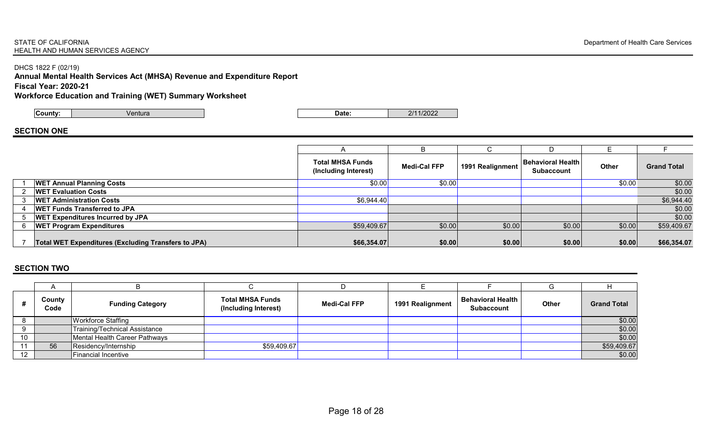## STATE OF CALIFORNIA **Department of Health Care Services** HEALTH AND HUMAN SERVICES AGENCY

# DHCS 1822 F (02/19)

# **Annual Mental Health Services Act (MHSA) Revenue and Expenditure Report**

# **Fiscal Year: 2020-21**

# **Workforce Education and Training (WET) Summary Worksheet**

| /entura<br>.<br>m | Jate | $\sim$<br>$\overline{\phantom{a}}$<br>v. |
|-------------------|------|------------------------------------------|
|-------------------|------|------------------------------------------|

# **SECTION ONE**

|   |                                                     | <b>Total MHSA Funds</b><br>(Including Interest) | <b>Medi-Cal FFP</b> | 1991 Realignment | <b>Behavioral Health</b><br><b>Subaccount</b> | <b>Other</b> | <b>Grand Total</b> |
|---|-----------------------------------------------------|-------------------------------------------------|---------------------|------------------|-----------------------------------------------|--------------|--------------------|
|   | <b>WET Annual Planning Costs</b>                    | \$0.00                                          | \$0.00              |                  |                                               | \$0.00       | \$0.00             |
|   | <b>WET Evaluation Costs</b>                         |                                                 |                     |                  |                                               |              | \$0.00             |
|   | <b>WET Administration Costs</b>                     | \$6,944.40                                      |                     |                  |                                               |              | \$6,944.40         |
|   | <b>WET Funds Transferred to JPA</b>                 |                                                 |                     |                  |                                               |              | \$0.00             |
|   | <b>WET Expenditures Incurred by JPA</b>             |                                                 |                     |                  |                                               |              | \$0.00             |
| 6 | <b>WET Program Expenditures</b>                     | \$59,409.67                                     | \$0.00              | \$0.00           | \$0.00                                        | \$0.00       | \$59,409.67        |
|   |                                                     |                                                 |                     |                  |                                               |              |                    |
|   | Total WET Expenditures (Excluding Transfers to JPA) | \$66,354.07                                     | \$0.00              | \$0.00           | \$0.00                                        | \$0.00       | \$66,354.07        |

|    | County<br>Code | <b>Funding Category</b>       | <b>Total MHSA Funds</b><br>(Including Interest) | Medi-Cal FFP | 1991 Realignment | <b>Behavioral Health</b><br><b>Subaccount</b> | <b>Other</b> | <b>Grand Total</b> |
|----|----------------|-------------------------------|-------------------------------------------------|--------------|------------------|-----------------------------------------------|--------------|--------------------|
|    |                | Workforce Staffing            |                                                 |              |                  |                                               |              | \$0.00             |
|    |                | Training/Technical Assistance |                                                 |              |                  |                                               |              | \$0.00             |
| 10 |                | Mental Health Career Pathways |                                                 |              |                  |                                               |              | \$0.00             |
| 11 | 56             | Residency/Internship          | \$59,409.67                                     |              |                  |                                               |              | \$59,409.67        |
| 12 |                | Financial Incentive           |                                                 |              |                  |                                               |              | \$0.00             |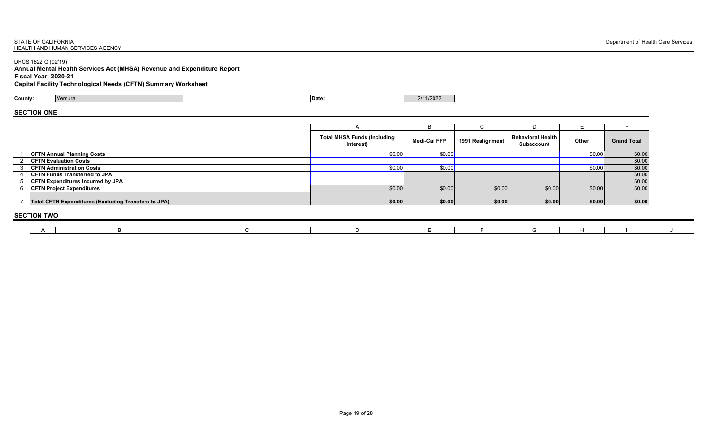#### STATE OF CALIFORNIA **Department of Health Care Services Department of Health Care Services** HEALTH AND HUMAN SERVICES AGENCY

DHCS 1822 G (02/19)

# **Annual Mental Health Services Act (MHSA) Revenue and Expenditure Report Fiscal Year: 2020-21**

**Capital Facility Technological Needs (CFTN) Summary Worksheet**

**County:** Ventura **Date:** 2/11/2022

### **SECTION ONE**

|                                                      |                                                 | B            |                  |                                        |        |                    |
|------------------------------------------------------|-------------------------------------------------|--------------|------------------|----------------------------------------|--------|--------------------|
|                                                      | <b>Total MHSA Funds (Including</b><br>Interest) | Medi-Cal FFP | 1991 Realignment | <b>Behavioral Health</b><br>Subaccount | Other  | <b>Grand Total</b> |
| <b>CFTN Annual Planning Costs</b>                    | \$0.00                                          | \$0.00       |                  |                                        | \$0.00 | \$0.00             |
| <b>ICFTN Evaluation Costs</b>                        |                                                 |              |                  |                                        |        | \$0.00             |
| <b>CFTN Administration Costs</b>                     | \$0.00                                          | \$0.00       |                  |                                        | \$0.00 | \$0.00             |
| <b>CFTN Funds Transferred to JPA</b>                 |                                                 |              |                  |                                        |        | \$0.00             |
| <b>CFTN Expenditures Incurred by JPA</b>             |                                                 |              |                  |                                        |        | \$0.00             |
| <b>CFTN Project Expenditures</b>                     | \$0.00                                          | \$0.00       | \$0.00           | \$0.00                                 | \$0.00 | \$0.00             |
| Total CFTN Expenditures (Excluding Transfers to JPA) | \$0.00                                          | \$0.00       | \$0.00           | \$0.00                                 | \$0.00 | \$0.00             |
| <b>CECTION THIS</b>                                  |                                                 |              |                  |                                        |        |                    |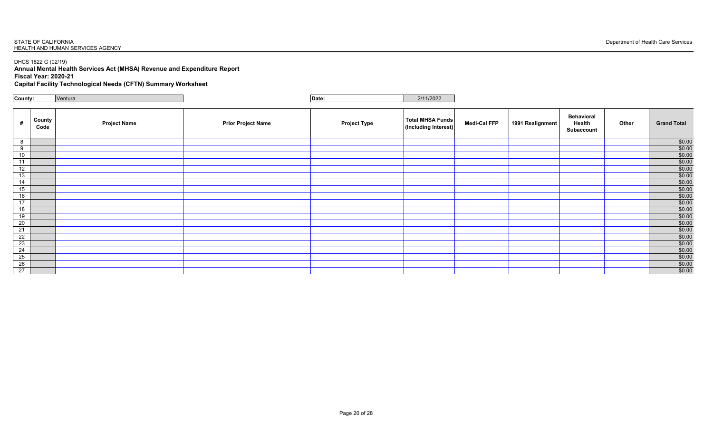DHCS 1822 G (02/19)

**Annual Mental Health Services Act (MHSA) Revenue and Expenditure Report Fiscal Year: 2020-21**

**Capital Facility Technological Needs (CFTN) Summary Worksheet**

| County:<br>Ventura |                |                     |                           | Date:               | 2/11/2022                                       |                     |                  |                                           |       |                    |
|--------------------|----------------|---------------------|---------------------------|---------------------|-------------------------------------------------|---------------------|------------------|-------------------------------------------|-------|--------------------|
| #                  | County<br>Code | <b>Project Name</b> | <b>Prior Project Name</b> | <b>Project Type</b> | <b>Total MHSA Funds</b><br>(Including Interest) | <b>Medi-Cal FFP</b> | 1991 Realignment | <b>Behavioral</b><br>Health<br>Subaccount | Other | <b>Grand Total</b> |
| 8                  |                |                     |                           |                     |                                                 |                     |                  |                                           |       | \$0.00             |
| 9                  |                |                     |                           |                     |                                                 |                     |                  |                                           |       | \$0.00             |
| 10                 |                |                     |                           |                     |                                                 |                     |                  |                                           |       | \$0.00             |
| 11                 |                |                     |                           |                     |                                                 |                     |                  |                                           |       | \$0.00             |
| $\overline{12}$    |                |                     |                           |                     |                                                 |                     |                  |                                           |       | \$0.00             |
| 13                 |                |                     |                           |                     |                                                 |                     |                  |                                           |       | \$0.00             |
| 14                 |                |                     |                           |                     |                                                 |                     |                  |                                           |       | \$0.00             |
| 15                 |                |                     |                           |                     |                                                 |                     |                  |                                           |       | \$0.00             |
| 16                 |                |                     |                           |                     |                                                 |                     |                  |                                           |       | \$0.00             |
| 17                 |                |                     |                           |                     |                                                 |                     |                  |                                           |       | \$0.00             |
| 18                 |                |                     |                           |                     |                                                 |                     |                  |                                           |       | \$0.00             |
| 19                 |                |                     |                           |                     |                                                 |                     |                  |                                           |       | \$0.00             |
| $\overline{20}$    |                |                     |                           |                     |                                                 |                     |                  |                                           |       | \$0.00             |
| 21                 |                |                     |                           |                     |                                                 |                     |                  |                                           |       | \$0.00             |
| 22                 |                |                     |                           |                     |                                                 |                     |                  |                                           |       | \$0.00             |
| 23                 |                |                     |                           |                     |                                                 |                     |                  |                                           |       | \$0.00             |
| 24                 |                |                     |                           |                     |                                                 |                     |                  |                                           |       | \$0.00             |
| 25                 |                |                     |                           |                     |                                                 |                     |                  |                                           |       | \$0.00             |
| 26                 |                |                     |                           |                     |                                                 |                     |                  |                                           |       | \$0.00             |
| 27                 |                |                     |                           |                     |                                                 |                     |                  |                                           |       | \$0.00             |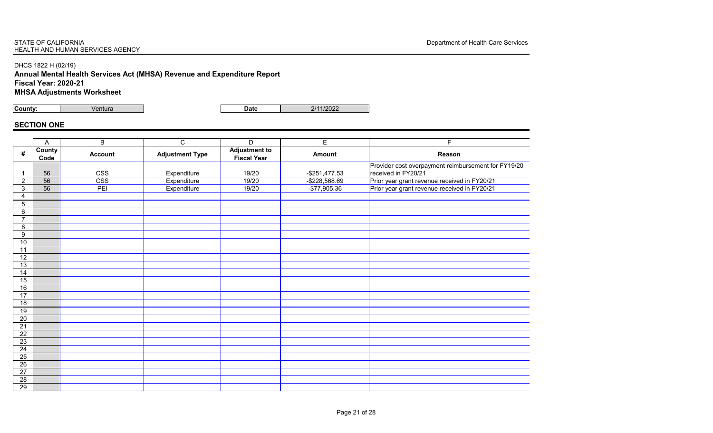# DHCS 1822 H (02/19)

**Annual Mental Health Services Act (MHSA) Revenue and Expenditure Report Fiscal Year: 2020-21 MHSA Adjustments Worksheet** 

**County:** Ventura **Date** 2/11/2022

# **SECTION ONE**

|                 | A              | $\overline{B}$          | $\overline{c}$         | $\overline{D}$                             | $\overline{E}$   | F.                                                  |
|-----------------|----------------|-------------------------|------------------------|--------------------------------------------|------------------|-----------------------------------------------------|
| #               | County<br>Code | <b>Account</b>          | <b>Adjustment Type</b> | <b>Adjustment to</b><br><b>Fiscal Year</b> | <b>Amount</b>    | Reason                                              |
|                 |                |                         |                        |                                            |                  | Provider cost overpayment reimbursement for FY19/20 |
| 1               | 56             | <b>CSS</b>              | Expenditure            | 19/20                                      | $-$ \$251,477.53 | received in FY20/21                                 |
| $\overline{2}$  | 56             | $\overline{\text{CSS}}$ | Expenditure            | 19/20                                      | $-$ \$228,568.69 | Prior year grant revenue received in FY20/21        |
| 3               | 56             | PEI                     | Expenditure            | 19/20                                      | $-$77,905.36$    | Prior year grant revenue received in FY20/21        |
| 4               |                |                         |                        |                                            |                  |                                                     |
| 5               |                |                         |                        |                                            |                  |                                                     |
| 6               |                |                         |                        |                                            |                  |                                                     |
| $\overline{7}$  |                |                         |                        |                                            |                  |                                                     |
| 8               |                |                         |                        |                                            |                  |                                                     |
| 9               |                |                         |                        |                                            |                  |                                                     |
| 10              |                |                         |                        |                                            |                  |                                                     |
| 11              |                |                         |                        |                                            |                  |                                                     |
| 12              |                |                         |                        |                                            |                  |                                                     |
| 13              |                |                         |                        |                                            |                  |                                                     |
| $\overline{14}$ |                |                         |                        |                                            |                  |                                                     |
| 15              |                |                         |                        |                                            |                  |                                                     |
| 16              |                |                         |                        |                                            |                  |                                                     |
| 17              |                |                         |                        |                                            |                  |                                                     |
| $\overline{18}$ |                |                         |                        |                                            |                  |                                                     |
| $\overline{19}$ |                |                         |                        |                                            |                  |                                                     |
| 20              |                |                         |                        |                                            |                  |                                                     |
| $\overline{21}$ |                |                         |                        |                                            |                  |                                                     |
| $\overline{22}$ |                |                         |                        |                                            |                  |                                                     |
| $\overline{23}$ |                |                         |                        |                                            |                  |                                                     |
| $\overline{24}$ |                |                         |                        |                                            |                  |                                                     |
| $\overline{25}$ |                |                         |                        |                                            |                  |                                                     |
| $\overline{26}$ |                |                         |                        |                                            |                  |                                                     |
| 27              |                |                         |                        |                                            |                  |                                                     |
| $\overline{28}$ |                |                         |                        |                                            |                  |                                                     |
| 29              |                |                         |                        |                                            |                  |                                                     |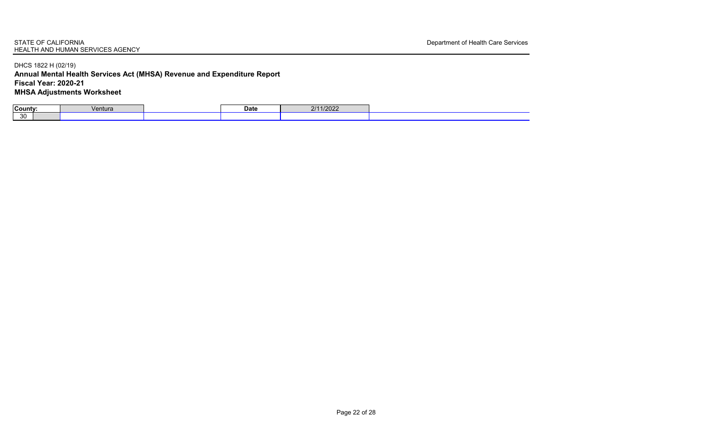# DHCS 1822 H (02/19) **Annual Mental Health Services Act (MHSA) Revenue and Expenditure Report Fiscal Year: 2020-21 MHSA Adjustments Worksheet**

| County: | Ventura | Date | 1/2022<br>0/11 |
|---------|---------|------|----------------|
| 30      |         |      |                |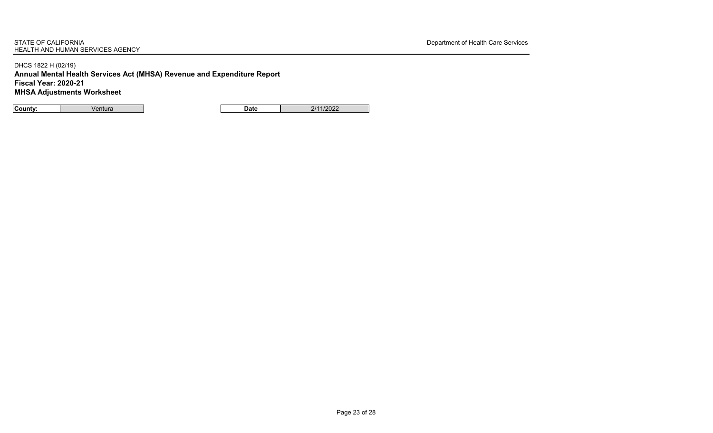# DHCS 1822 H (02/19) **Annual Mental Health Services Act (MHSA) Revenue and Expenditure Report Fiscal Year: 2020-21 MHSA Adjustments Worksheet**

**County:** Ventura **Date** 2/11/2022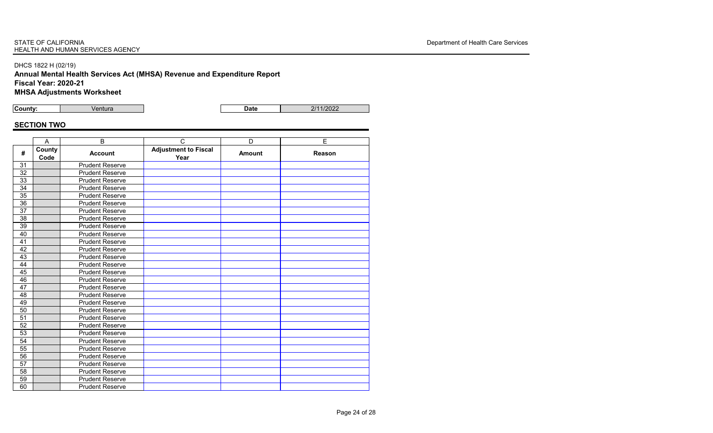# DHCS 1822 H (02/19)

**Annual Mental Health Services Act (MHSA) Revenue and Expenditure Report Fiscal Year: 2020-21 MHSA Adjustments Worksheet** 

**County:** Ventura **Date** 2/11/2022

|                 | A              | B                      | C                                   | D             | E      |
|-----------------|----------------|------------------------|-------------------------------------|---------------|--------|
| #               | County<br>Code | <b>Account</b>         | <b>Adjustment to Fiscal</b><br>Year | <b>Amount</b> | Reason |
| 31              |                | <b>Prudent Reserve</b> |                                     |               |        |
| 32              |                | <b>Prudent Reserve</b> |                                     |               |        |
| 33              |                | <b>Prudent Reserve</b> |                                     |               |        |
| 34              |                | <b>Prudent Reserve</b> |                                     |               |        |
| 35              |                | <b>Prudent Reserve</b> |                                     |               |        |
| 36              |                | <b>Prudent Reserve</b> |                                     |               |        |
| $\overline{37}$ |                | <b>Prudent Reserve</b> |                                     |               |        |
| 38              |                | <b>Prudent Reserve</b> |                                     |               |        |
| 39              |                | <b>Prudent Reserve</b> |                                     |               |        |
| 40              |                | <b>Prudent Reserve</b> |                                     |               |        |
| 41              |                | Prudent Reserve        |                                     |               |        |
| $\overline{42}$ |                | <b>Prudent Reserve</b> |                                     |               |        |
| 43              |                | <b>Prudent Reserve</b> |                                     |               |        |
| 44              |                | <b>Prudent Reserve</b> |                                     |               |        |
| 45              |                | <b>Prudent Reserve</b> |                                     |               |        |
| 46              |                | <b>Prudent Reserve</b> |                                     |               |        |
| 47              |                | <b>Prudent Reserve</b> |                                     |               |        |
| 48              |                | <b>Prudent Reserve</b> |                                     |               |        |
| 49              |                | <b>Prudent Reserve</b> |                                     |               |        |
| 50              |                | <b>Prudent Reserve</b> |                                     |               |        |
| 51              |                | <b>Prudent Reserve</b> |                                     |               |        |
| $\overline{52}$ |                | <b>Prudent Reserve</b> |                                     |               |        |
| 53              |                | <b>Prudent Reserve</b> |                                     |               |        |
| $\overline{54}$ |                | <b>Prudent Reserve</b> |                                     |               |        |
| 55              |                | <b>Prudent Reserve</b> |                                     |               |        |
| $\overline{56}$ |                | <b>Prudent Reserve</b> |                                     |               |        |
| 57              |                | <b>Prudent Reserve</b> |                                     |               |        |
| 58              |                | <b>Prudent Reserve</b> |                                     |               |        |
| 59              |                | <b>Prudent Reserve</b> |                                     |               |        |
| 60              |                | <b>Prudent Reserve</b> |                                     |               |        |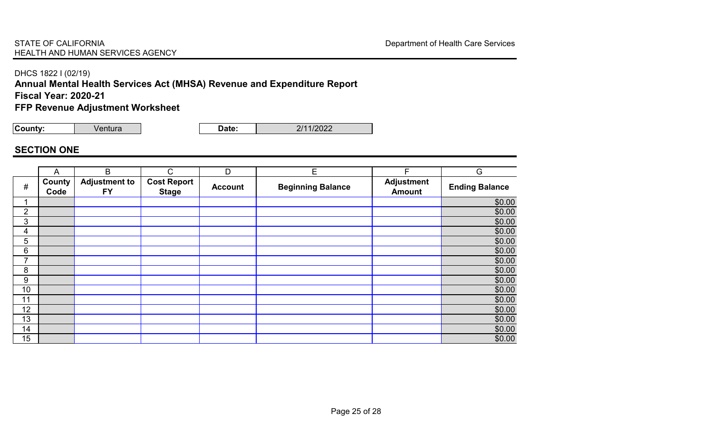# DHCS 1822 I (02/19)

# **Annual Mental Health Services Act (MHSA) Revenue and Expenditure Report**

# **Fiscal Year: 2020-21**

**FFP Revenue Adjustment Worksheet**

**County: Ventura <b>Date:** 2/11/2022

# **SECTION ONE**

|                | A                     | B                                 | C.                                 | D              | E                        | F                                  | G                     |
|----------------|-----------------------|-----------------------------------|------------------------------------|----------------|--------------------------|------------------------------------|-----------------------|
| $\#$           | <b>County</b><br>Code | <b>Adjustment to</b><br><b>FY</b> | <b>Cost Report</b><br><b>Stage</b> | <b>Account</b> | <b>Beginning Balance</b> | <b>Adjustment</b><br><b>Amount</b> | <b>Ending Balance</b> |
|                |                       |                                   |                                    |                |                          |                                    | \$0.00                |
| $\overline{2}$ |                       |                                   |                                    |                |                          |                                    | \$0.00                |
| 3              |                       |                                   |                                    |                |                          |                                    | \$0.00                |
| 4              |                       |                                   |                                    |                |                          |                                    | \$0.00                |
| 5              |                       |                                   |                                    |                |                          |                                    | \$0.00                |
| 6              |                       |                                   |                                    |                |                          |                                    | \$0.00                |
| 7              |                       |                                   |                                    |                |                          |                                    | \$0.00                |
| 8              |                       |                                   |                                    |                |                          |                                    | \$0.00                |
| 9              |                       |                                   |                                    |                |                          |                                    | \$0.00                |
| 10             |                       |                                   |                                    |                |                          |                                    | \$0.00                |
| 11             |                       |                                   |                                    |                |                          |                                    | \$0.00                |
| 12             |                       |                                   |                                    |                |                          |                                    | \$0.00                |
| 13             |                       |                                   |                                    |                |                          |                                    | \$0.00                |
| 14             |                       |                                   |                                    |                |                          |                                    | \$0.00                |
| 15             |                       |                                   |                                    |                |                          |                                    | \$0.00                |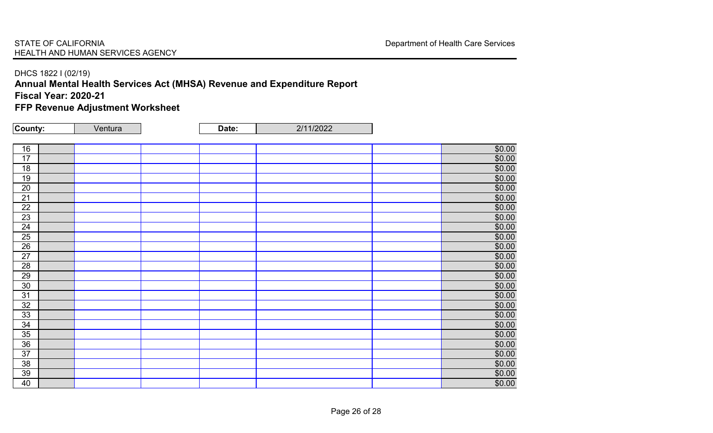# DHCS 1822 I (02/19)

# **Annual Mental Health Services Act (MHSA) Revenue and Expenditure Report**

# **Fiscal Year: 2020-21**

**FFP Revenue Adjustment Worksheet**

**County: Ventura <b>Date:** 2/11/2022

| $\overline{16}$ |  |  |  | \$0.00 |
|-----------------|--|--|--|--------|
| 17              |  |  |  | \$0.00 |
| $\overline{18}$ |  |  |  | \$0.00 |
| 19              |  |  |  | \$0.00 |
| 20              |  |  |  | \$0.00 |
| $\overline{21}$ |  |  |  | \$0.00 |
| $\overline{22}$ |  |  |  | \$0.00 |
| $\overline{23}$ |  |  |  | \$0.00 |
| $\overline{24}$ |  |  |  | \$0.00 |
| $\overline{25}$ |  |  |  | \$0.00 |
| 26              |  |  |  | \$0.00 |
| 27              |  |  |  | \$0.00 |
| 28              |  |  |  | \$0.00 |
| 29              |  |  |  | \$0.00 |
| 30              |  |  |  | \$0.00 |
| 31              |  |  |  | \$0.00 |
| 32              |  |  |  | \$0.00 |
| 33              |  |  |  | \$0.00 |
| 34              |  |  |  | \$0.00 |
| 35              |  |  |  | \$0.00 |
| 36              |  |  |  | \$0.00 |
| 37              |  |  |  | \$0.00 |
| 38              |  |  |  | \$0.00 |
| 39              |  |  |  | \$0.00 |
| 40              |  |  |  | \$0.00 |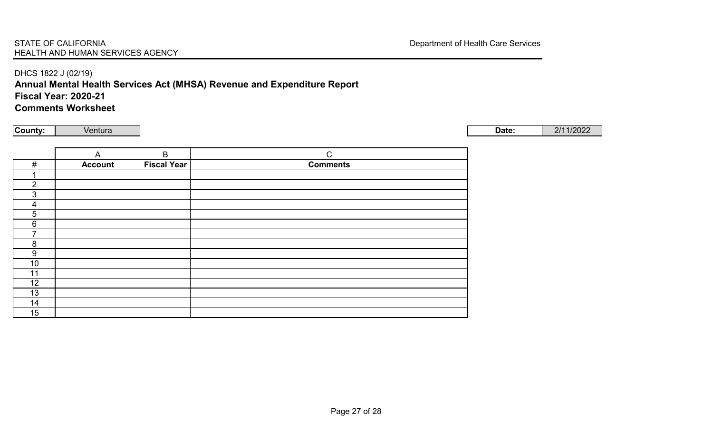# DHCS 1822 J (02/19) **Annual Mental Health Services Act (MHSA) Revenue and Expenditure Report Fiscal Year: 2020-21 Comments Worksheet**

|                 | A              | $\mathsf B$        | $\mathsf{C}$    |
|-----------------|----------------|--------------------|-----------------|
| #               | <b>Account</b> | <b>Fiscal Year</b> | <b>Comments</b> |
|                 |                |                    |                 |
| $\overline{2}$  |                |                    |                 |
| 3               |                |                    |                 |
| 4               |                |                    |                 |
| $5\phantom{.0}$ |                |                    |                 |
| $6\phantom{1}6$ |                |                    |                 |
| ⇁               |                |                    |                 |
| 8               |                |                    |                 |
| 9               |                |                    |                 |
| 10              |                |                    |                 |
| 11              |                |                    |                 |
| 12              |                |                    |                 |
| 13              |                |                    |                 |
| 14              |                |                    |                 |
| 15              |                |                    |                 |

**County:** Ventura **Date:** 2/11/2022